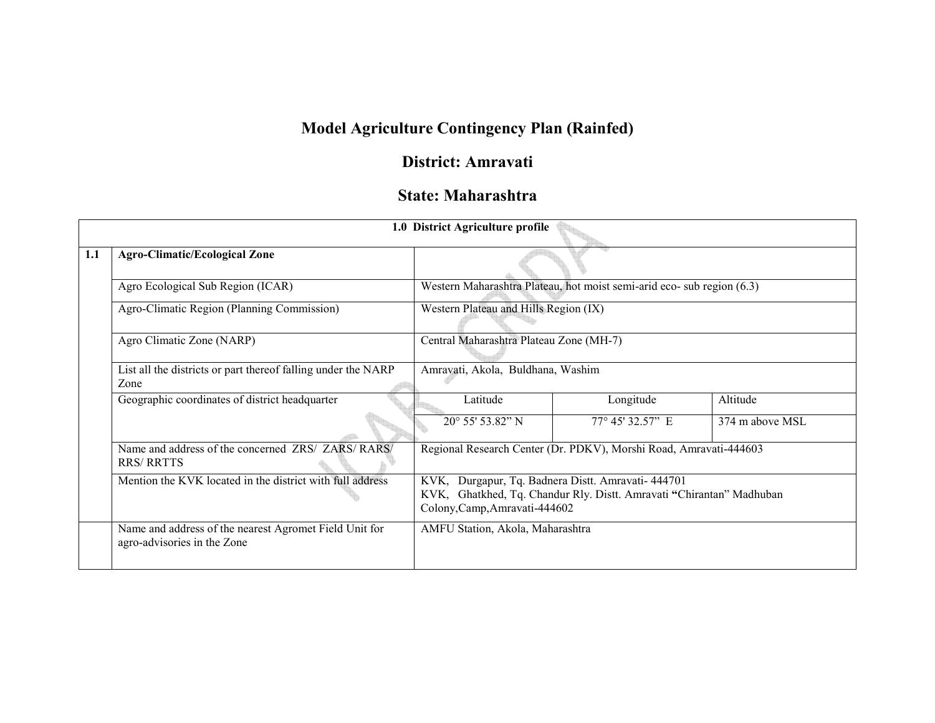# Model Agriculture Contingency Plan (Rainfed)

# District: Amravati

## State: Maharashtra

|     |                                                                                       | 1.0 District Agriculture profile                                                                                                                            |                                                                        |                 |  |  |  |
|-----|---------------------------------------------------------------------------------------|-------------------------------------------------------------------------------------------------------------------------------------------------------------|------------------------------------------------------------------------|-----------------|--|--|--|
| 1.1 | <b>Agro-Climatic/Ecological Zone</b>                                                  |                                                                                                                                                             |                                                                        |                 |  |  |  |
|     | Agro Ecological Sub Region (ICAR)                                                     |                                                                                                                                                             | Western Maharashtra Plateau, hot moist semi-arid eco- sub region (6.3) |                 |  |  |  |
|     | Agro-Climatic Region (Planning Commission)                                            | Western Plateau and Hills Region (IX)                                                                                                                       |                                                                        |                 |  |  |  |
|     | Agro Climatic Zone (NARP)                                                             | Central Maharashtra Plateau Zone (MH-7)                                                                                                                     |                                                                        |                 |  |  |  |
|     | List all the districts or part thereof falling under the NARP<br>Zone                 | Amravati, Akola, Buldhana, Washim                                                                                                                           |                                                                        |                 |  |  |  |
|     | Geographic coordinates of district headquarter                                        | Latitude                                                                                                                                                    | Longitude                                                              | Altitude        |  |  |  |
|     |                                                                                       | $20^{\circ}$ 55' 53.82" N                                                                                                                                   | $77^{\circ}$ 45' 32.57" E                                              | 374 m above MSL |  |  |  |
|     | Name and address of the concerned ZRS/ ZARS/ RARS/<br><b>RRS/RRTTS</b>                | Regional Research Center (Dr. PDKV), Morshi Road, Amravati-444603                                                                                           |                                                                        |                 |  |  |  |
|     | Mention the KVK located in the district with full address                             | KVK, Durgapur, Tq. Badnera Distt. Amravati- 444701<br>KVK, Ghatkhed, Tq. Chandur Rly. Distt. Amravati "Chirantan" Madhuban<br>Colony, Camp, Amravati-444602 |                                                                        |                 |  |  |  |
|     | Name and address of the nearest Agromet Field Unit for<br>agro-advisories in the Zone | AMFU Station, Akola, Maharashtra                                                                                                                            |                                                                        |                 |  |  |  |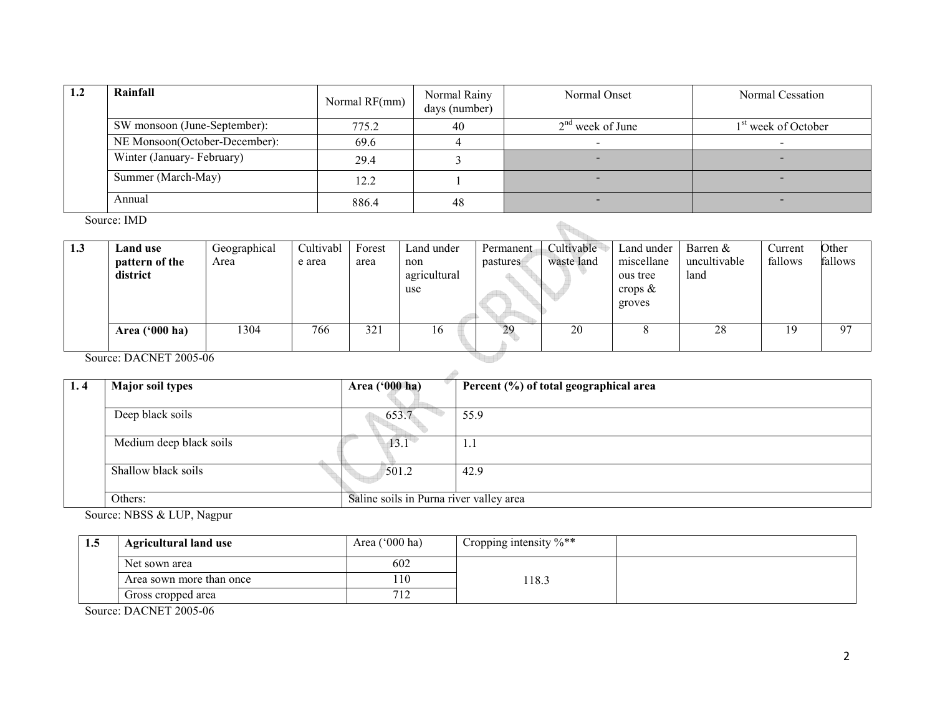| 1.2 | Rainfall                      | Normal RF(mm) | Normal Rainy<br>days (number) | Normal Onset       | Normal Cessation                |
|-----|-------------------------------|---------------|-------------------------------|--------------------|---------------------------------|
|     | SW monsoon (June-September):  | 775.2         | 40                            | $2nd$ week of June | 1 <sup>st</sup> week of October |
|     | NE Monsoon(October-December): | 69.6          |                               |                    |                                 |
|     | Winter (January-February)     | 29.4          |                               |                    | $\sim$                          |
|     | Summer (March-May)            | 12.2          |                               |                    | $\sim$                          |
|     | Annual                        | 886.4         | 48                            |                    | $\overline{\phantom{a}}$        |

Source: IMD

|     | Source: IMD                            |                      |                     |                |                                          |                       |                          |                                                              |                                    |                    |                  |
|-----|----------------------------------------|----------------------|---------------------|----------------|------------------------------------------|-----------------------|--------------------------|--------------------------------------------------------------|------------------------------------|--------------------|------------------|
| 1.3 | Land use<br>pattern of the<br>district | Geographical<br>Area | Cultivabl<br>e area | Forest<br>area | Land under<br>non<br>agricultural<br>use | Permanent<br>pastures | Cultivable<br>waste land | Land under<br>miscellane<br>ous tree<br>crops $\&$<br>groves | Barren $&$<br>uncultivable<br>land | Current<br>fallows | Other<br>fallows |
|     | Area $('000 ha)$                       | 1304                 | 766                 | 321            | 16                                       | 29                    | 20                       | 8                                                            | 28                                 | 19                 | 97               |
|     | Source: DACNET 2005-06                 |                      |                     |                |                                          |                       |                          |                                                              |                                    |                    |                  |

Source: DACNET 2005-06

| 1.4 | <b>Major soil types</b> | Area ('000 ha)                          | Percent (%) of total geographical area |  |  |  |  |  |
|-----|-------------------------|-----------------------------------------|----------------------------------------|--|--|--|--|--|
|     |                         |                                         |                                        |  |  |  |  |  |
|     | Deep black soils        | 653.7                                   | 55.9                                   |  |  |  |  |  |
|     | Medium deep black soils | $13.1^{\circ}$                          | -1.1                                   |  |  |  |  |  |
|     | Shallow black soils     | 501.2                                   | 42.9                                   |  |  |  |  |  |
|     | Others:                 | Saline soils in Purna river valley area |                                        |  |  |  |  |  |

Source: NBSS & LUP, Nagpur

| 1.5 | <b>Agricultural land use</b> | Area $(000 \text{ ha})$ | Cropping intensity $\%$ ** |  |
|-----|------------------------------|-------------------------|----------------------------|--|
|     | Net sown area                | 602                     |                            |  |
|     | Area sown more than once     | 110                     | 18.3                       |  |
|     | Gross cropped area           | 712                     |                            |  |

Source: DACNET 2005-06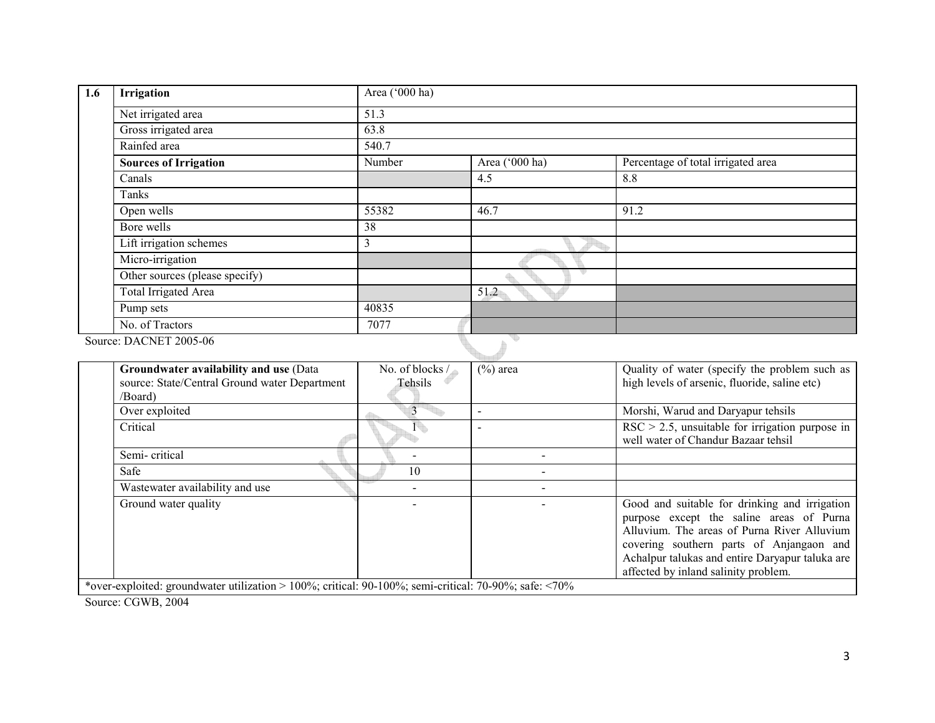| 1.6 | Irrigation                     | Area ('000 ha) |                |                                    |
|-----|--------------------------------|----------------|----------------|------------------------------------|
|     | Net irrigated area             | 51.3           |                |                                    |
|     | Gross irrigated area           | 63.8           |                |                                    |
|     | Rainfed area                   | 540.7          |                |                                    |
|     | <b>Sources of Irrigation</b>   | Number         | Area ('000 ha) | Percentage of total irrigated area |
|     | Canals                         |                | 4.5            | 8.8                                |
|     | Tanks                          |                |                |                                    |
|     | Open wells                     | 55382          | 46.7           | 91.2                               |
|     | Bore wells                     | 38             |                |                                    |
|     | Lift irrigation schemes        | 3              |                |                                    |
|     | Micro-irrigation               |                |                |                                    |
|     | Other sources (please specify) |                |                |                                    |
|     | Total Irrigated Area           |                | 51.2           |                                    |
|     | Pump sets                      | 40835          |                |                                    |
|     | No. of Tractors                | 7077           |                |                                    |
|     | Source: DACNET 2005-06         |                |                |                                    |

| Groundwater availability and use (Data<br>source: State/Central Ground water Department<br>/Board)                   | No. of blocks /<br>Tehsils | $(\%)$ area              | Quality of water (specify the problem such as<br>high levels of arsenic, fluoride, saline etc)                                                                                                                                                                                  |  |  |  |  |
|----------------------------------------------------------------------------------------------------------------------|----------------------------|--------------------------|---------------------------------------------------------------------------------------------------------------------------------------------------------------------------------------------------------------------------------------------------------------------------------|--|--|--|--|
| Over exploited                                                                                                       |                            | $\overline{\phantom{0}}$ | Morshi, Warud and Daryapur tehsils                                                                                                                                                                                                                                              |  |  |  |  |
| Critical                                                                                                             |                            |                          | $RSC > 2.5$ , unsuitable for irrigation purpose in<br>well water of Chandur Bazaar tehsil                                                                                                                                                                                       |  |  |  |  |
| Semi-critical                                                                                                        |                            |                          |                                                                                                                                                                                                                                                                                 |  |  |  |  |
| Safe                                                                                                                 | 10                         |                          |                                                                                                                                                                                                                                                                                 |  |  |  |  |
| Wastewater availability and use                                                                                      |                            |                          |                                                                                                                                                                                                                                                                                 |  |  |  |  |
| Ground water quality                                                                                                 |                            |                          | Good and suitable for drinking and irrigation<br>purpose except the saline areas of Purna<br>Alluvium. The areas of Purna River Alluvium<br>covering southern parts of Anjangaon and<br>Achalpur talukas and entire Daryapur taluka are<br>affected by inland salinity problem. |  |  |  |  |
| *over_exploited: groundwater utilization $>100\%$ ; critical: $90.100\%$ ; cemi-critical: $70.90\%$ ; safe: $< 70\%$ |                            |                          |                                                                                                                                                                                                                                                                                 |  |  |  |  |

\*over-exploited: groundwater utilization > 100%; critical: 90-100%; semi-critical: 70-90%; safe: <70%

Source: CGWB, 2004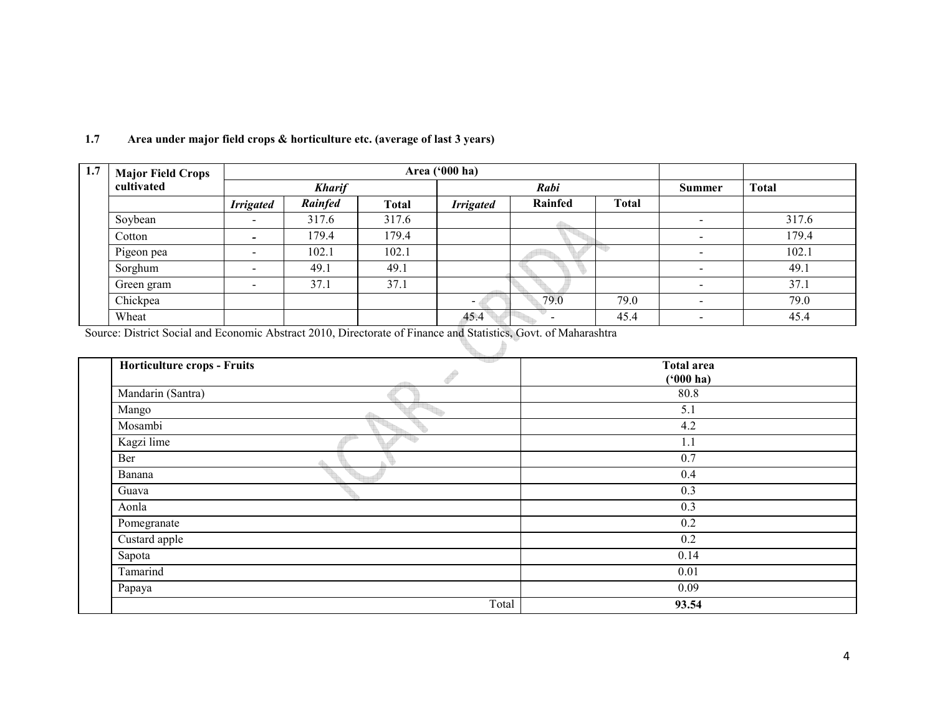| 1.7 | <b>Major Field Crops</b> |                          | Area ('000 ha) |              |                  |         |              |               |              |
|-----|--------------------------|--------------------------|----------------|--------------|------------------|---------|--------------|---------------|--------------|
|     | cultivated               | <b>Kharif</b>            |                |              | Rabi             |         |              | <b>Summer</b> | <b>Total</b> |
|     |                          | <b>Irrigated</b>         | Rainfed        | <b>Total</b> | <b>Irrigated</b> | Rainfed | <b>Total</b> |               |              |
|     | Soybean                  | $\overline{\phantom{0}}$ | 317.6          | 317.6        |                  |         |              | -             | 317.6        |
|     | Cotton                   |                          | 179.4          | 179.4        |                  |         |              |               | 179.4        |
|     | Pigeon pea               | $\overline{\phantom{0}}$ | 102.1          | 102.1        |                  |         |              |               | 102.1        |
|     | Sorghum                  | $\overline{\phantom{0}}$ | 49.1           | 49.1         |                  |         |              |               | 49.1         |
|     | Green gram               |                          | 37.1           | 37.1         |                  |         |              |               | 37.1         |
|     | Chickpea                 |                          |                |              | -                | 79.0    | 79.0         |               | 79.0         |
|     | Wheat                    |                          |                |              | 45.4             |         | 45.4         |               | 45.4         |

t.

#### 1.7 Area under major field crops & horticulture etc. (average of last 3 years)

Source: District Social and Economic Abstract 2010, Directorate of Finance and Statistics, Govt. of Maharashtra  $\mathbb{R}$ 

| Horticulture crops - Fruits | ende  | <b>Total area</b><br>$(900)$ ha) |  |
|-----------------------------|-------|----------------------------------|--|
| Mandarin (Santra)           |       | 80.8                             |  |
| Mango                       |       | 5.1                              |  |
| Mosambi                     |       | 4.2                              |  |
| Kagzi lime                  |       | 1.1                              |  |
| Ber                         |       | 0.7                              |  |
| Banana                      |       | 0.4                              |  |
| Guava                       |       | 0.3                              |  |
| Aonla                       |       | 0.3                              |  |
| Pomegranate                 |       | 0.2                              |  |
| Custard apple               |       | 0.2                              |  |
| Sapota                      |       | 0.14                             |  |
| Tamarind                    |       | 0.01                             |  |
| Papaya                      |       | 0.09                             |  |
|                             | Total | 93.54                            |  |
|                             |       |                                  |  |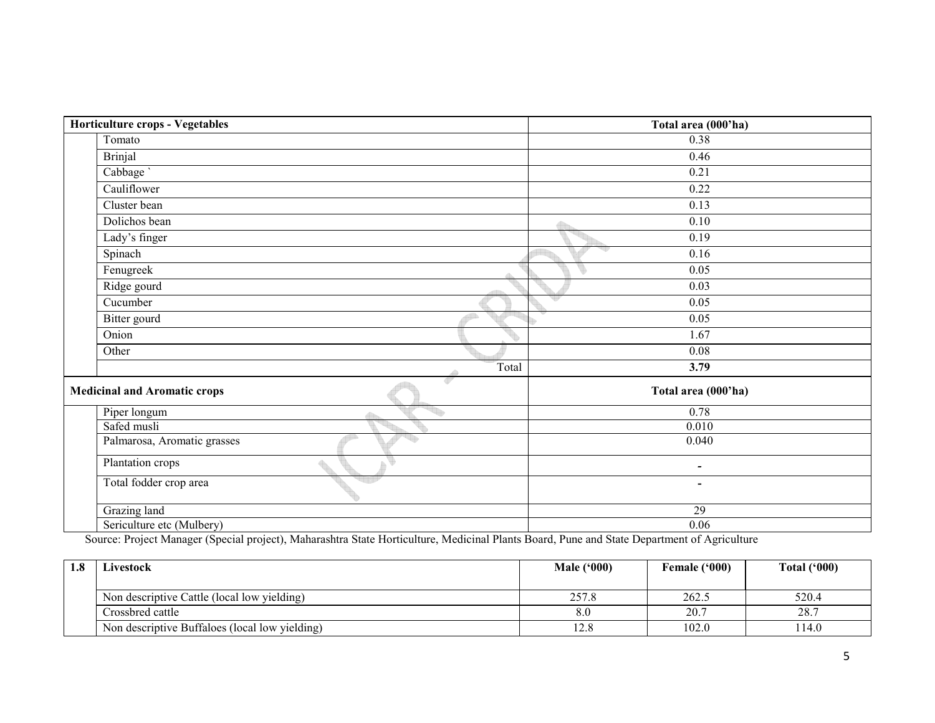| Horticulture crops - Vegetables          | Total area (000'ha)      |
|------------------------------------------|--------------------------|
| Tomato                                   | 0.38                     |
| Brinjal                                  | 0.46                     |
| Cabbage `                                | 0.21                     |
| Cauliflower                              | 0.22                     |
| Cluster bean                             | 0.13                     |
| Dolichos bean                            | 0.10<br>4de              |
| Lady's finger                            | 0.19                     |
| Spinach                                  | 0.16                     |
| Fenugreek<br>a.                          | 0.05                     |
| Ridge gourd                              | 0.03                     |
| Cucumber                                 | 0.05                     |
| Bitter gourd                             | 0.05                     |
| Onion                                    | 1.67                     |
| Other                                    | 0.08                     |
| Total                                    | 3.79                     |
| ď<br><b>Medicinal and Aromatic crops</b> | Total area (000'ha)      |
| Piper longum                             | 0.78                     |
| Safed musli                              | 0.010                    |
| Palmarosa, Aromatic grasses              | 0.040                    |
| Plantation crops                         | $\overline{\phantom{a}}$ |
| Total fodder crop area                   | $\overline{\phantom{a}}$ |
| Grazing land                             | 29                       |
| Sericulture etc (Mulbery)                | $\overline{0.06}$        |

Sericulture etc (Mulbery) 0.06 Source: Project Manager (Special project), Maharashtra State Horticulture, Medicinal Plants Board, Pune and State Department of Agriculture

| 1.8 | Livestock                                      | <b>Male ('000)</b> | Female ('000) | Total $(900)$ |
|-----|------------------------------------------------|--------------------|---------------|---------------|
|     | Non descriptive Cattle (local low yielding)    | 257.8              | 262.5         | 520.4         |
|     | Crossbred cattle                               | 8.0                | 20.7          | 28.7          |
|     | Non descriptive Buffaloes (local low yielding) | 12.8               | 102.0         | 114.0         |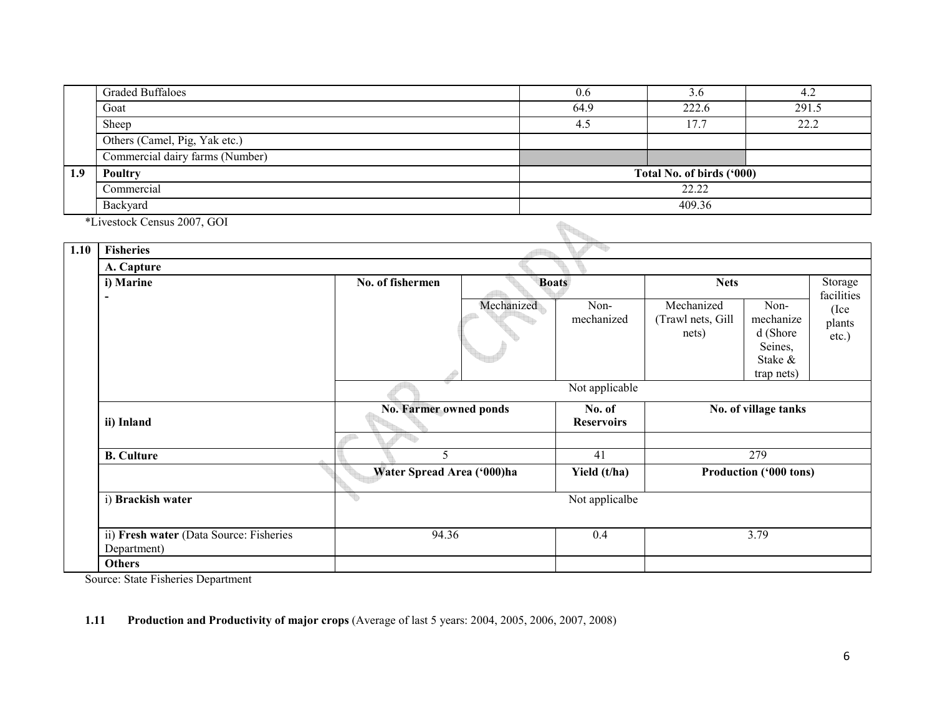|     | <b>Graded Buffaloes</b>         | 0.6  | 3.6                       | 4.4   |  |  |  |
|-----|---------------------------------|------|---------------------------|-------|--|--|--|
|     | Goat                            | 64.9 | 222.6                     | 291.5 |  |  |  |
|     | Sheep                           | 4.5  | 17.7                      | 22.2  |  |  |  |
|     | Others (Camel, Pig, Yak etc.)   |      |                           |       |  |  |  |
|     | Commercial dairy farms (Number) |      |                           |       |  |  |  |
| 1.9 | Poultry                         |      | Total No. of birds ('000) |       |  |  |  |
|     | Commercial                      |      | 22.22                     |       |  |  |  |
|     | Backyard                        |      | 409.36                    |       |  |  |  |

\*Livestock Census 2007, GOI

|      | <i>*Livestock Census 2007</i> , GOI                    |                                  |            |                             |                                          |                                                                   |                                       |
|------|--------------------------------------------------------|----------------------------------|------------|-----------------------------|------------------------------------------|-------------------------------------------------------------------|---------------------------------------|
| 1.10 | <b>Fisheries</b>                                       |                                  |            |                             |                                          |                                                                   |                                       |
|      | A. Capture                                             |                                  |            |                             |                                          |                                                                   |                                       |
|      | i) Marine                                              | No. of fishermen<br><b>Boats</b> |            |                             | <b>Nets</b>                              |                                                                   | Storage                               |
|      |                                                        |                                  | Mechanized | Non-<br>mechanized          | Mechanized<br>(Trawl nets, Gill<br>nets) | Non-<br>mechanize<br>d (Shore<br>Seines,<br>Stake &<br>trap nets) | facilities<br>(Ice<br>plants<br>etc.) |
|      |                                                        |                                  |            | Not applicable              |                                          |                                                                   |                                       |
|      | ii) Inland                                             | <b>No. Farmer owned ponds</b>    |            | No. of<br><b>Reservoirs</b> |                                          | No. of village tanks                                              |                                       |
|      |                                                        |                                  |            |                             |                                          |                                                                   |                                       |
|      | <b>B.</b> Culture                                      | 5<br>Water Spread Area ('000)ha  |            | 41<br>279                   |                                          |                                                                   |                                       |
|      |                                                        |                                  |            | Yield (t/ha)                |                                          | Production ('000 tons)                                            |                                       |
|      | i) Brackish water                                      | q.                               |            | Not applicalbe              |                                          |                                                                   |                                       |
|      | ii) Fresh water (Data Source: Fisheries<br>Department) | 94.36                            |            | 0.4                         |                                          | 3.79                                                              |                                       |
|      | <b>Others</b>                                          |                                  |            |                             |                                          |                                                                   |                                       |

Source: State Fisheries Department

### 1.11 Production and Productivity of major crops (Average of last 5 years: 2004, 2005, 2006, 2007, 2008)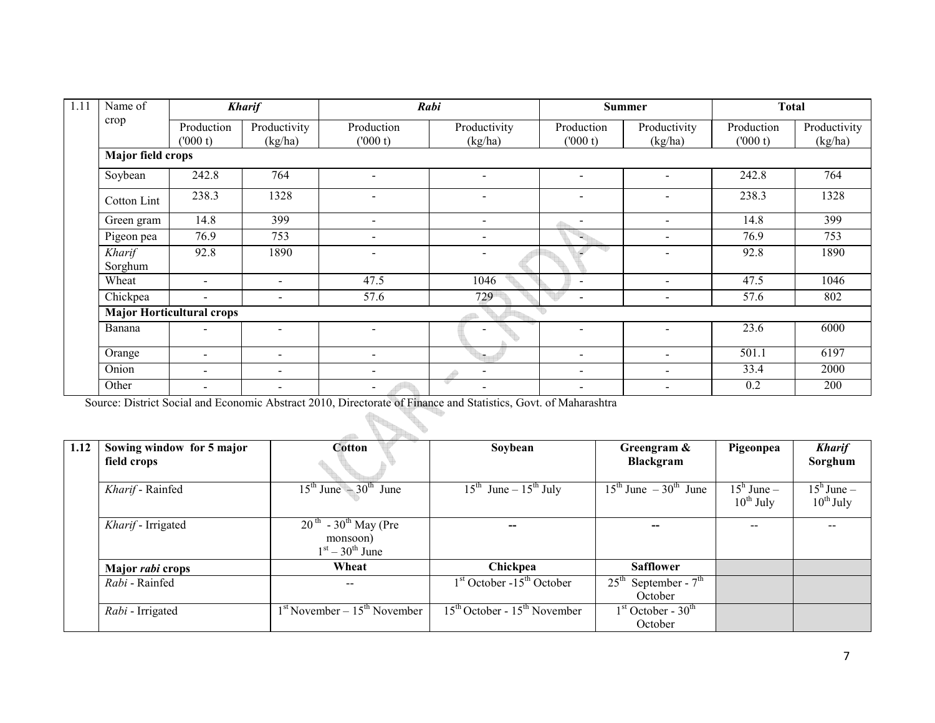| 1.11 | Name of           |                                  | <b>Kharif</b>                |                          | Rabi                     |                          | Summer                   |                       | <b>Total</b>            |
|------|-------------------|----------------------------------|------------------------------|--------------------------|--------------------------|--------------------------|--------------------------|-----------------------|-------------------------|
|      | crop              | Production<br>(000 t)            | Productivity<br>(kg/ha)      | Production<br>(000 t)    | Productivity<br>(kg/ha)  | Production<br>(000 t)    | Productivity<br>(kg/ha)  | Production<br>(000 t) | Productivity<br>(kg/ha) |
|      | Major field crops |                                  |                              |                          |                          |                          |                          |                       |                         |
|      | Soybean           | 242.8                            | 764                          |                          | -                        | $\sim$                   |                          | 242.8                 | 764                     |
|      | Cotton Lint       | 238.3                            | 1328                         |                          | ۰                        |                          |                          | 238.3                 | 1328                    |
|      | Green gram        | 14.8                             | 399                          |                          | $\overline{\phantom{0}}$ |                          | $\overline{\phantom{0}}$ | 14.8                  | 399                     |
|      | Pigeon pea        | 76.9                             | 753                          |                          | $\overline{\phantom{0}}$ |                          | -                        | 76.9                  | 753                     |
|      | Kharif<br>Sorghum | 92.8                             | 1890                         |                          |                          |                          |                          | 92.8                  | 1890                    |
|      | Wheat             | $\overline{\phantom{a}}$         | $\overline{\phantom{a}}$     | 47.5                     | 1046                     | $\overline{\phantom{0}}$ | $\blacksquare$           | 47.5                  | 1046                    |
|      | Chickpea          | $\overline{\phantom{a}}$         | $\overline{\phantom{a}}$     | 57.6                     | 729                      | $\overline{\phantom{0}}$ | $\blacksquare$           | 57.6                  | 802                     |
|      |                   | <b>Major Horticultural crops</b> |                              |                          |                          |                          |                          |                       |                         |
|      | Banana            |                                  | -                            |                          |                          | $\sim$                   |                          | 23.6                  | 6000                    |
|      | Orange            | $\overline{\phantom{0}}$         | $\overline{\phantom{0}}$     |                          | h.                       | $\blacksquare$           | $\overline{\phantom{0}}$ | 501.1                 | 6197                    |
|      | Onion             | $\overline{\phantom{0}}$         | $\qquad \qquad \blacksquare$ | $\overline{\phantom{a}}$ | $\overline{\phantom{a}}$ | -                        |                          | 33.4                  | 2000                    |
|      | Other             | $\blacksquare$                   | $\qquad \qquad \blacksquare$ | $\blacksquare$           | $\overline{\phantom{a}}$ | -                        | $\overline{\phantom{0}}$ | 0.2                   | 200                     |

Source: District Social and Economic Abstract 2010, Directorate of Finance and Statistics, Govt. of Maharashtra

| 1.12 | Sowing window for 5 major | Cotton                                                                            | Soybean                                       | Greengram &                                      | Pigeonpea                             | <b>Kharif</b>                         |
|------|---------------------------|-----------------------------------------------------------------------------------|-----------------------------------------------|--------------------------------------------------|---------------------------------------|---------------------------------------|
|      | field crops               |                                                                                   |                                               | Blackgram                                        |                                       | Sorghum                               |
|      | Kharif - Rainfed          | $15^{\text{th}}$ June $-30^{\text{th}}$ June                                      | $15^{\text{th}}$ June – $15^{\text{th}}$ July | $15^{\text{th}}$ June $-30^{\text{th}}$ June     | $15^{\rm h}$ June –<br>$10^{th}$ July | $15^{\rm h}$ June –<br>$10^{th}$ July |
|      | Kharif - Irrigated        | $\overline{20^{th}}$ - 30 <sup>th</sup> May (Pre<br>monsoon)<br>$1st - 30th$ June |                                               |                                                  |                                       |                                       |
|      | Major <i>rabi</i> crops   | Wheat                                                                             | Chickpea                                      | <b>Safflower</b>                                 |                                       |                                       |
|      | Rahi - Rainfed            | $\overline{\phantom{m}}$                                                          | $1st$ October -15 <sup>th</sup> October       | September - $7th$<br>$25^{\text{th}}$<br>October |                                       |                                       |
|      | Rabi - Irrigated          | $1st$ November – $15th$ November                                                  | $15th$ October - $15th$ November              | $1st October - 30th$<br>October                  |                                       |                                       |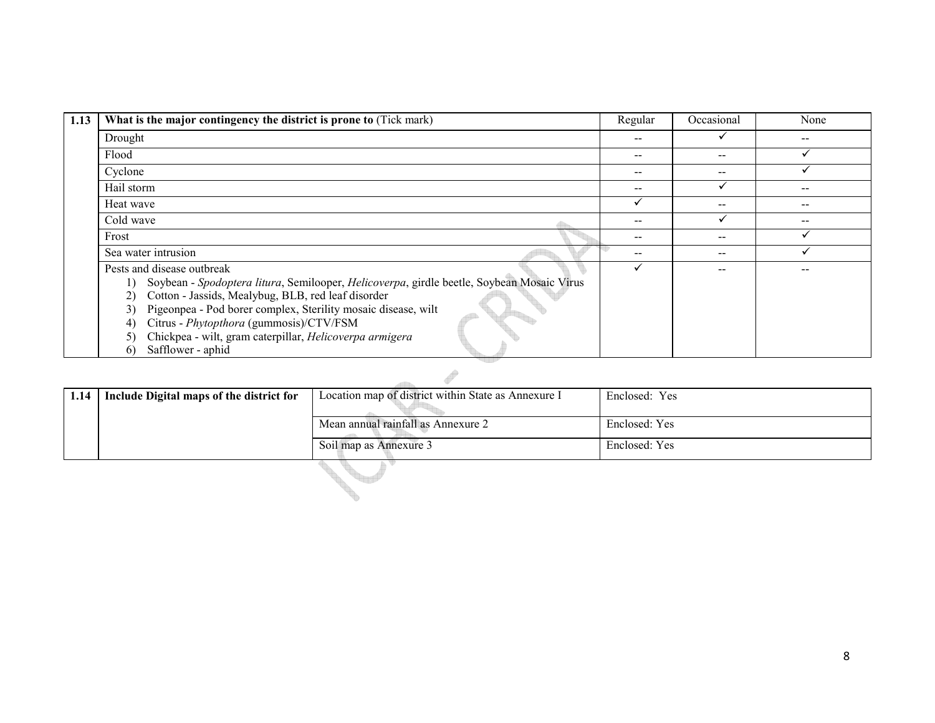| 1.13 | What is the major contingency the district is prone to (Tick mark)                        | Regular | Occasional | None  |
|------|-------------------------------------------------------------------------------------------|---------|------------|-------|
|      | Drought                                                                                   |         |            | --    |
|      | Flood                                                                                     | $- -$   | $- -$      |       |
|      | Cyclone                                                                                   | $- -$   | $- -$      |       |
|      | Hail storm                                                                                |         |            | --    |
|      | Heat wave                                                                                 |         | $- -$      | $- -$ |
|      | Cold wave                                                                                 | $- -$   |            | $- -$ |
|      | Frost                                                                                     | $- -$   | $- -$      |       |
|      | Sea water intrusion                                                                       |         | $- -$      |       |
|      | Pests and disease outbreak                                                                |         |            |       |
|      | Soybean - Spodoptera litura, Semilooper, Helicoverpa, girdle beetle, Soybean Mosaic Virus |         |            |       |
|      | Cotton - Jassids, Mealybug, BLB, red leaf disorder<br>2)                                  |         |            |       |
|      | Pigeonpea - Pod borer complex, Sterility mosaic disease, wilt<br>3)                       |         |            |       |
|      | Citrus - Phytopthora (gummosis)/CTV/FSM<br>4)                                             |         |            |       |
|      | Chickpea - wilt, gram caterpillar, Helicoverpa armigera<br>5)                             |         |            |       |
|      | Safflower - aphid<br>6)                                                                   |         |            |       |

| 1.14 | Include Digital maps of the district for | Location map of district within State as Annexure I | Enclosed: Yes |  |  |  |  |  |
|------|------------------------------------------|-----------------------------------------------------|---------------|--|--|--|--|--|
|      |                                          | Mean annual rainfall as Annexure 2                  | Enclosed: Yes |  |  |  |  |  |
|      |                                          | Soil map as Annexure 3                              | Enclosed: Yes |  |  |  |  |  |
|      |                                          |                                                     |               |  |  |  |  |  |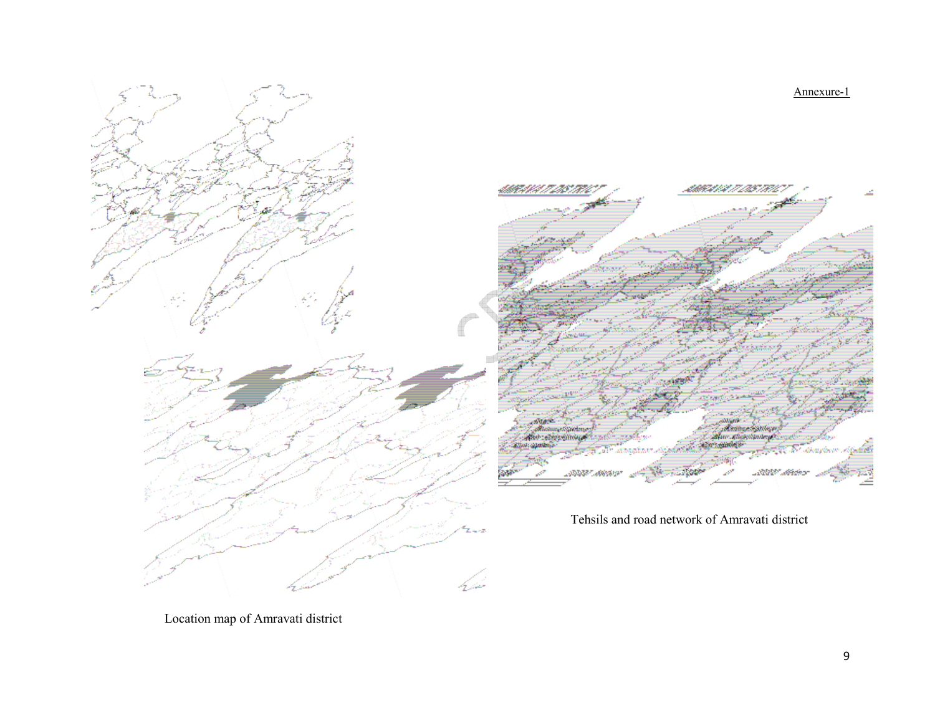Annexure-1





Tehsils and road network of Amravati district

Location map of Amravati district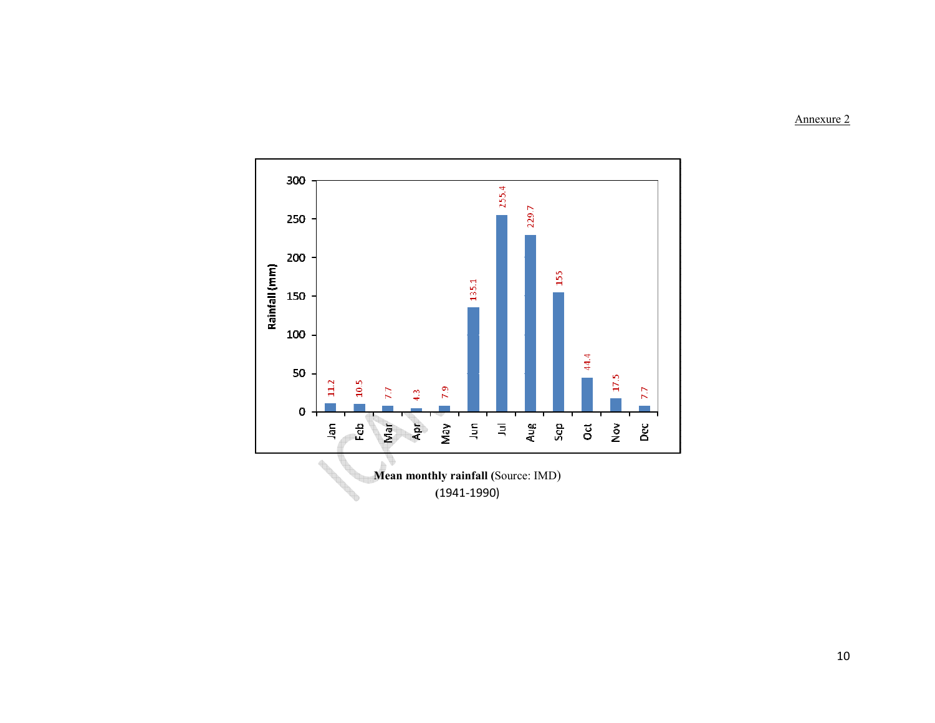Annexure 2

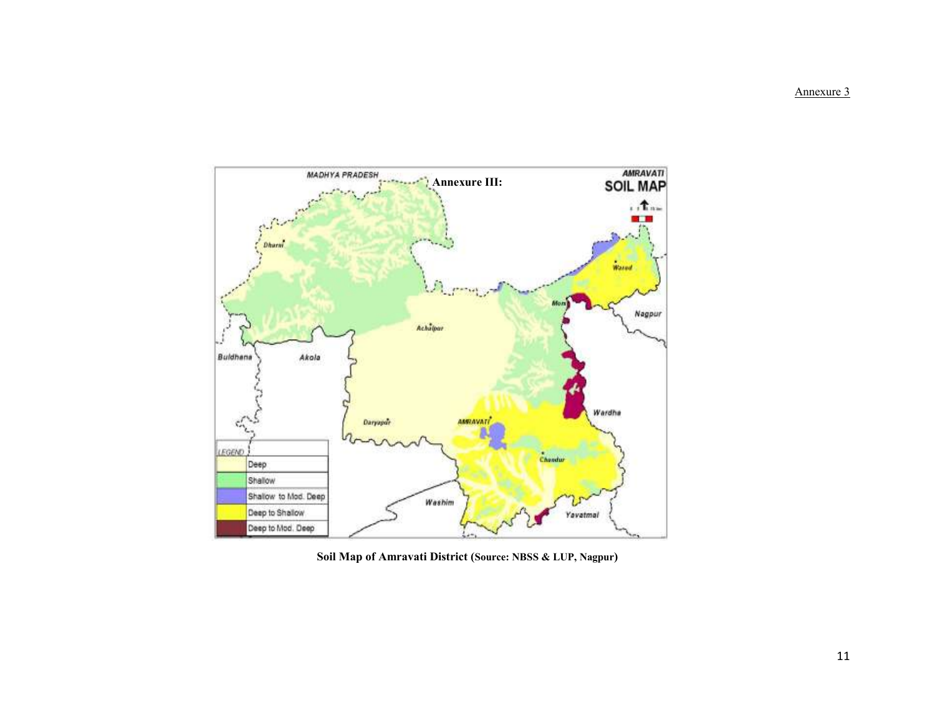Annexure 3



Soil Map of Amravati District (Source: NBSS & LUP, Nagpur)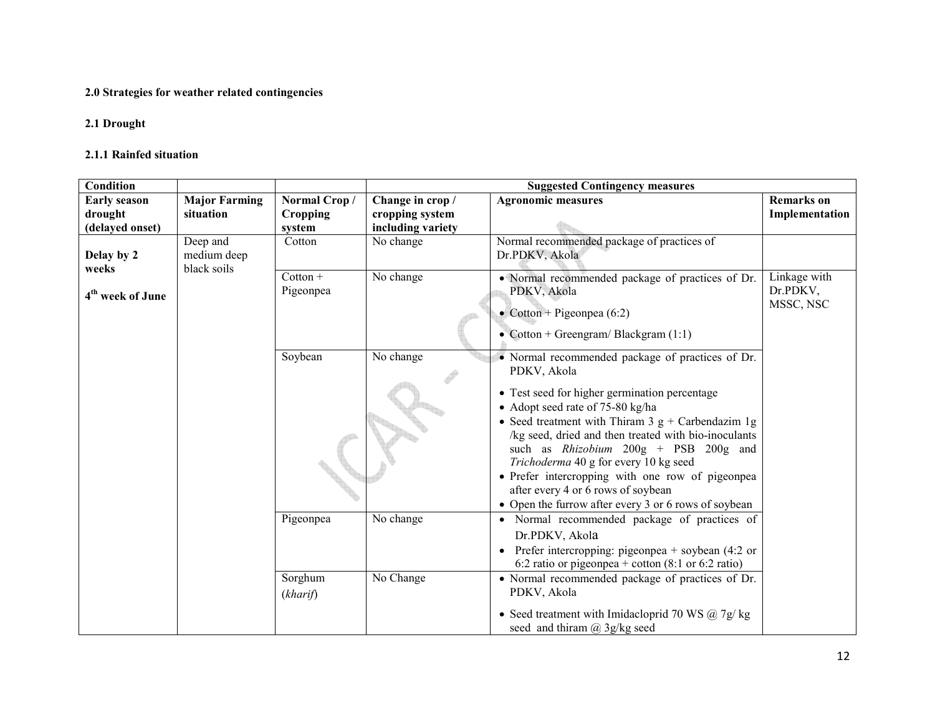#### 2.0 Strategies for weather related contingencies

#### 2.1 Drought

#### 2.1.1 Rainfed situation

| Condition                      |                                        |                                |                                     | <b>Suggested Contingency measures</b>                                                                                                                                                                                                                                                                                                                                                                                                                                                                          |                                       |
|--------------------------------|----------------------------------------|--------------------------------|-------------------------------------|----------------------------------------------------------------------------------------------------------------------------------------------------------------------------------------------------------------------------------------------------------------------------------------------------------------------------------------------------------------------------------------------------------------------------------------------------------------------------------------------------------------|---------------------------------------|
| <b>Early season</b><br>drought | <b>Major Farming</b><br>situation      | Normal Crop/<br>Cropping       | Change in crop /<br>cropping system | <b>Agronomic measures</b>                                                                                                                                                                                                                                                                                                                                                                                                                                                                                      | <b>Remarks</b> on<br>Implementation   |
| (delayed onset)                |                                        | system                         | including variety                   |                                                                                                                                                                                                                                                                                                                                                                                                                                                                                                                |                                       |
| Delay by 2<br>weeks            | Deep and<br>medium deep<br>black soils | Cotton                         | No change                           | Normal recommended package of practices of<br>Dr.PDKV, Akola                                                                                                                                                                                                                                                                                                                                                                                                                                                   |                                       |
| 4 <sup>th</sup> week of June   |                                        | $\text{Cotton} +$<br>Pigeonpea | No change                           | • Normal recommended package of practices of Dr.<br>PDKV, Akola<br>• Cotton + Pigeonpea $(6:2)$<br>• Cotton + Greengram/Blackgram $(1:1)$                                                                                                                                                                                                                                                                                                                                                                      | Linkage with<br>Dr.PDKV,<br>MSSC, NSC |
|                                |                                        | Soybean                        | No change                           | • Normal recommended package of practices of Dr.<br>PDKV, Akola<br>• Test seed for higher germination percentage<br>• Adopt seed rate of 75-80 kg/ha<br>• Seed treatment with Thiram 3 $g +$ Carbendazim 1g<br>/kg seed, dried and then treated with bio-inoculants<br>such as <i>Rhizobium</i> 200g + PSB 200g and<br>Trichoderma 40 g for every 10 kg seed<br>• Prefer intercropping with one row of pigeonpea<br>after every 4 or 6 rows of soybean<br>• Open the furrow after every 3 or 6 rows of soybean |                                       |
|                                |                                        | Pigeonpea<br>Sorghum           | No change<br>No Change              | • Normal recommended package of practices of<br>Dr.PDKV, Akola<br>Prefer intercropping: pigeonpea $+$ soybean (4:2 or<br>$\bullet$<br>6:2 ratio or pigeonpea + cotton $(8:1 \text{ or } 6:2 \text{ ratio})$<br>• Normal recommended package of practices of Dr.                                                                                                                                                                                                                                                |                                       |
|                                |                                        | (kharif)                       |                                     | PDKV, Akola<br>• Seed treatment with Imidacloprid 70 WS $@$ 7g/kg<br>seed and thiram $(a)$ 3g/kg seed                                                                                                                                                                                                                                                                                                                                                                                                          |                                       |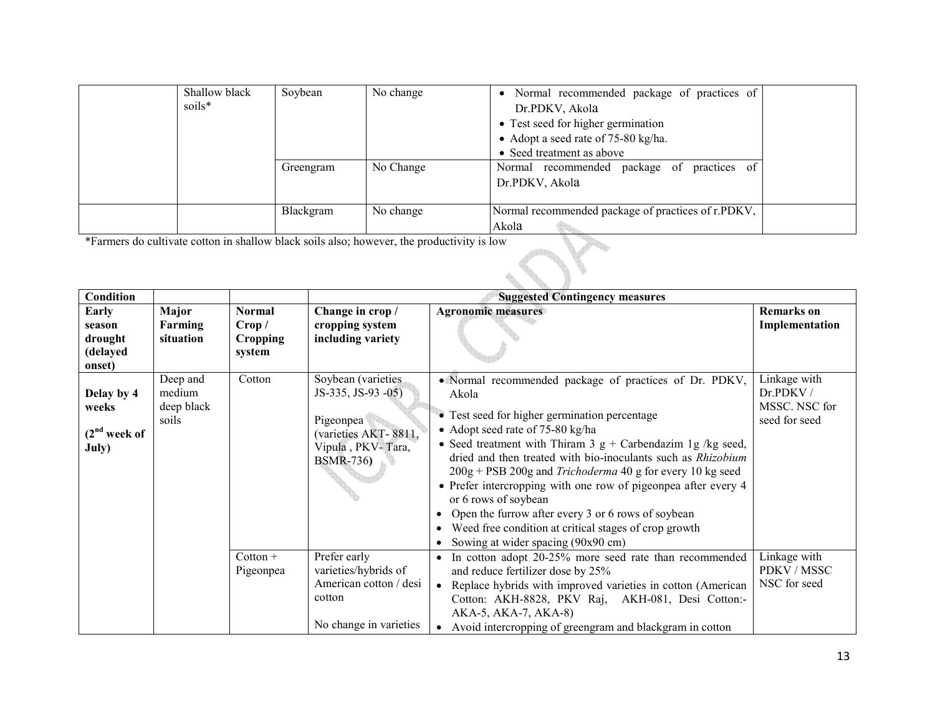| Shallow black | Soybean   | No change                                                                                  | • Normal recommended package of practices of       |  |
|---------------|-----------|--------------------------------------------------------------------------------------------|----------------------------------------------------|--|
| soils*        |           |                                                                                            | Dr.PDKV, Akola                                     |  |
|               |           |                                                                                            | • Test seed for higher germination                 |  |
|               |           |                                                                                            | • Adopt a seed rate of 75-80 kg/ha.                |  |
|               |           |                                                                                            | • Seed treatment as above                          |  |
|               | Greengram | No Change                                                                                  | practices of<br>Normal recommended package of      |  |
|               |           |                                                                                            | Dr.PDKV, Akola                                     |  |
|               |           |                                                                                            |                                                    |  |
|               | Blackgram | No change                                                                                  | Normal recommended package of practices of r.PDKV, |  |
|               |           |                                                                                            | Akola                                              |  |
|               |           | *Farmers do cultivate cotton in shallow black soils also; however, the productivity is low |                                                    |  |
|               |           |                                                                                            |                                                    |  |
|               |           |                                                                                            |                                                    |  |

| <b>Condition</b>                                 |                                           |                                                      |                                                                                                                        | <b>Suggested Contingency measures</b>                                                                                                                                                                                                                                                                                                                                                                                                                                                                                                                                                                            |                                                            |
|--------------------------------------------------|-------------------------------------------|------------------------------------------------------|------------------------------------------------------------------------------------------------------------------------|------------------------------------------------------------------------------------------------------------------------------------------------------------------------------------------------------------------------------------------------------------------------------------------------------------------------------------------------------------------------------------------------------------------------------------------------------------------------------------------------------------------------------------------------------------------------------------------------------------------|------------------------------------------------------------|
| Early<br>season<br>drought<br>(delayed<br>onset) | Major<br><b>Farming</b><br>situation      | <b>Normal</b><br>Crop /<br><b>Cropping</b><br>system | Change in crop /<br>cropping system<br>including variety                                                               | <b>Agronomic measures</b>                                                                                                                                                                                                                                                                                                                                                                                                                                                                                                                                                                                        | <b>Remarks</b> on<br>Implementation                        |
| Delay by 4<br>weeks<br>$(2nd$ week of<br>July)   | Deep and<br>medium<br>deep black<br>soils | Cotton                                               | Soybean (varieties<br>JS-335, JS-93 -05)<br>Pigeonpea<br>(varieties AKT-8811,<br>Vipula, PKV-Tara,<br><b>BSMR-736)</b> | • Normal recommended package of practices of Dr. PDKV,<br>Akola<br>• Test seed for higher germination percentage<br>• Adopt seed rate of 75-80 kg/ha<br>• Seed treatment with Thiram 3 $g +$ Carbendazim 1g /kg seed,<br>dried and then treated with bio-inoculants such as Rhizobium<br>$200g + PSB 200g$ and <i>Trichoderma</i> 40 g for every 10 kg seed<br>• Prefer intercropping with one row of pigeonpea after every 4<br>or 6 rows of soybean<br>• Open the furrow after every 3 or 6 rows of soybean<br>• Weed free condition at critical stages of crop growth<br>• Sowing at wider spacing (90x90 cm) | Linkage with<br>Dr.PDKV/<br>MSSC. NSC for<br>seed for seed |
|                                                  |                                           | $Cottom +$<br>Pigeonpea                              | Prefer early<br>varieties/hybrids of<br>American cotton / desi<br>cotton<br>No change in varieties                     | • In cotton adopt 20-25% more seed rate than recommended<br>and reduce fertilizer dose by 25%<br>• Replace hybrids with improved varieties in cotton (American<br>Cotton: AKH-8828, PKV Raj, AKH-081, Desi Cotton:-<br>AKA-5, AKA-7, AKA-8)<br>Avoid intercropping of greengram and blackgram in cotton                                                                                                                                                                                                                                                                                                          | Linkage with<br>PDKV / MSSC<br>NSC for seed                |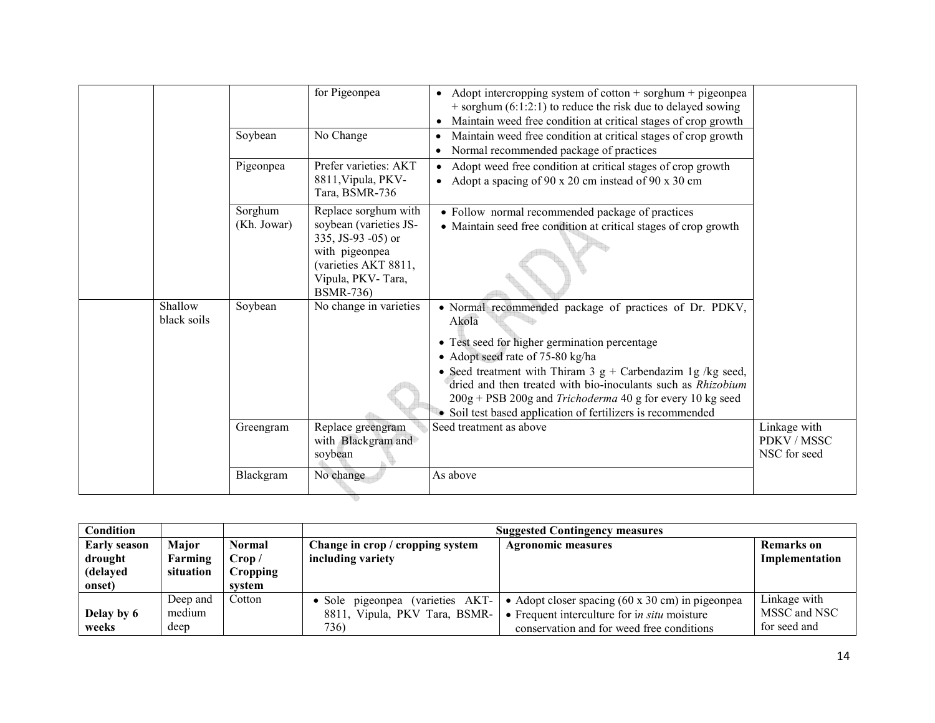|             | Blackgram              | No change                                                                                                 | As above                                                                                                                                                                                                                                                  |                                             |
|-------------|------------------------|-----------------------------------------------------------------------------------------------------------|-----------------------------------------------------------------------------------------------------------------------------------------------------------------------------------------------------------------------------------------------------------|---------------------------------------------|
|             | Greengram              | Replace greengram<br>with Blackgram and<br>soybean                                                        | Seed treatment as above                                                                                                                                                                                                                                   | Linkage with<br>PDKV / MSSC<br>NSC for seed |
|             |                        |                                                                                                           | • Seed treatment with Thiram 3 $g +$ Carbendazim 1g /kg seed,<br>dried and then treated with bio-inoculants such as Rhizobium<br>200g + PSB 200g and Trichoderma 40 g for every 10 kg seed<br>• Soil test based application of fertilizers is recommended |                                             |
| black soils |                        |                                                                                                           | Akola<br>• Test seed for higher germination percentage<br>• Adopt seed rate of 75-80 kg/ha                                                                                                                                                                |                                             |
| Shallow     | Soybean                | with pigeonpea<br>(varieties AKT 8811,<br>Vipula, PKV-Tara,<br><b>BSMR-736)</b><br>No change in varieties | • Normal recommended package of practices of Dr. PDKV,                                                                                                                                                                                                    |                                             |
|             | Sorghum<br>(Kh. Jowar) | Replace sorghum with<br>soybean (varieties JS-<br>335, JS-93 -05) or                                      | • Follow normal recommended package of practices<br>• Maintain seed free condition at critical stages of crop growth                                                                                                                                      |                                             |
|             | Pigeonpea              | Prefer varieties: AKT<br>8811, Vipula, PKV-<br>Tara, BSMR-736                                             | Adopt weed free condition at critical stages of crop growth<br>• Adopt a spacing of 90 x 20 cm instead of 90 x 30 cm                                                                                                                                      |                                             |
|             | Soybean                | No Change                                                                                                 | Maintain weed free condition at critical stages of crop growth<br>$\bullet$<br>Normal recommended package of practices                                                                                                                                    |                                             |
|             |                        | for Pigeonpea                                                                                             | • Adopt intercropping system of cotton $+$ sorghum $+$ pigeonpea<br>$+$ sorghum (6:1:2:1) to reduce the risk due to delayed sowing<br>Maintain weed free condition at critical stages of crop growth<br>$\bullet$                                         |                                             |

| <b>Condition</b>               |                            |                           |                                                                           | <b>Suggested Contingency measures</b>                                                                                                                                |                                              |  |  |
|--------------------------------|----------------------------|---------------------------|---------------------------------------------------------------------------|----------------------------------------------------------------------------------------------------------------------------------------------------------------------|----------------------------------------------|--|--|
| <b>Early season</b><br>drought | Maior<br>Farming           | Normal<br>Crop /          | Change in crop / cropping system<br>including variety                     | <b>Agronomic measures</b>                                                                                                                                            | Remarks on<br>Implementation                 |  |  |
| (delayed<br>onset)             | situation                  | <b>Cropping</b><br>system |                                                                           |                                                                                                                                                                      |                                              |  |  |
| Delay by 6<br>weeks            | Deep and<br>medium<br>deep | Cotton                    | • Sole pigeonpea (varieties AKT-<br>8811, Vipula, PKV Tara, BSMR-<br>736) | • Adopt closer spacing $(60 \times 30 \text{ cm})$ in pigeonpea<br>$\bullet$ Frequent interculture for in situ moisture<br>conservation and for weed free conditions | Linkage with<br>MSSC and NSC<br>for seed and |  |  |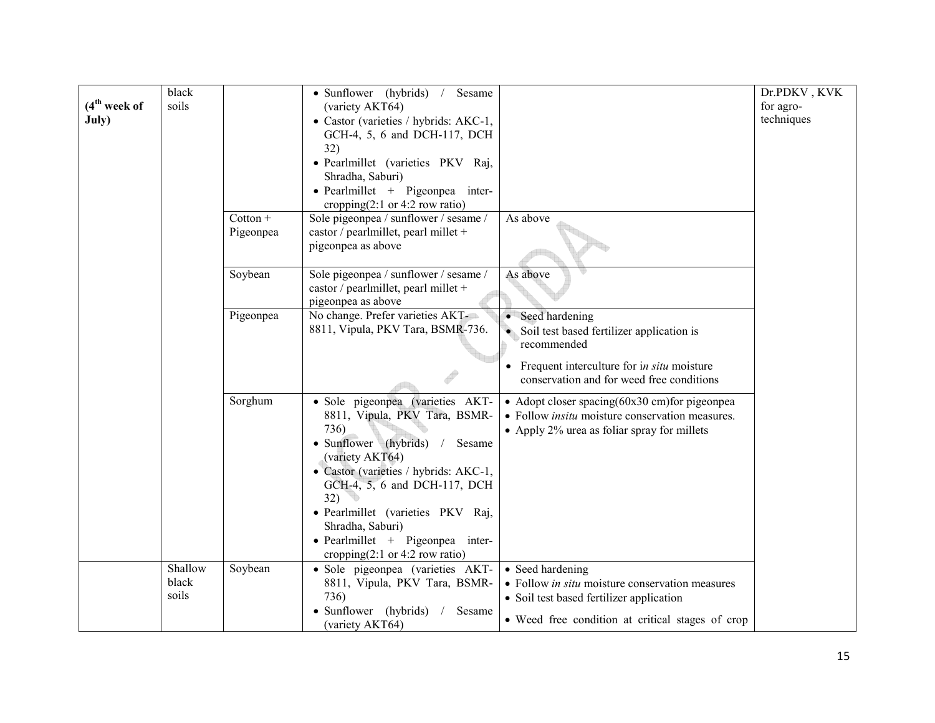|                | black          |            | • Sunflower (hybrids)<br>Sesame<br>$\sqrt{2}$      |                                                           | Dr.PDKV, KVK |
|----------------|----------------|------------|----------------------------------------------------|-----------------------------------------------------------|--------------|
| $(4th$ week of | soils          |            | (variety AKT64)                                    |                                                           | for agro-    |
| July)          |                |            | • Castor (varieties / hybrids: AKC-1,              |                                                           | techniques   |
|                |                |            | GCH-4, 5, 6 and DCH-117, DCH                       |                                                           |              |
|                |                |            | 32)                                                |                                                           |              |
|                |                |            | · Pearlmillet (varieties PKV Raj,                  |                                                           |              |
|                |                |            | Shradha, Saburi)                                   |                                                           |              |
|                |                |            | • Pearlmillet + Pigeonpea inter-                   |                                                           |              |
|                |                |            | cropping $(2:1 \text{ or } 4:2 \text{ row ratio})$ |                                                           |              |
|                |                | $Cottom +$ | Sole pigeonpea / sunflower / sesame /              | As above                                                  |              |
|                |                | Pigeonpea  | castor / pearlmillet, pearl millet +               |                                                           |              |
|                |                |            | pigeonpea as above                                 |                                                           |              |
|                |                | Soybean    | Sole pigeonpea / sunflower / sesame /              | As above                                                  |              |
|                |                |            | castor / pearlmillet, pearl millet +               |                                                           |              |
|                |                |            | pigeonpea as above                                 |                                                           |              |
|                |                | Pigeonpea  | No change. Prefer varieties AKT-                   | Seed hardening                                            |              |
|                |                |            | 8811, Vipula, PKV Tara, BSMR-736.                  | • Soil test based fertilizer application is               |              |
|                |                |            |                                                    | recommended                                               |              |
|                |                |            |                                                    | Frequent interculture for in situ moisture                |              |
|                |                |            |                                                    | conservation and for weed free conditions                 |              |
|                |                | Sorghum    | · Sole pigeonpea (varieties AKT-                   | • Adopt closer spacing $(60x30 \text{ cm})$ for pigeonpea |              |
|                |                |            | 8811, Vipula, PKV Tara, BSMR-                      | • Follow <i>insitu</i> moisture conservation measures.    |              |
|                |                |            | 736)                                               | • Apply 2% urea as foliar spray for millets               |              |
|                |                |            | • Sunflower (hybrids)<br>Sesame<br>$\sqrt{2}$      |                                                           |              |
|                |                |            | (variety AKT64)                                    |                                                           |              |
|                |                |            | • Castor (varieties / hybrids: AKC-1,              |                                                           |              |
|                |                |            | GCH-4, 5, 6 and DCH-117, DCH                       |                                                           |              |
|                |                |            | 32)                                                |                                                           |              |
|                |                |            | · Pearlmillet (varieties PKV Raj,                  |                                                           |              |
|                |                |            | Shradha, Saburi)                                   |                                                           |              |
|                |                |            | $\bullet$ Pearlmillet + Pigeonpea inter-           |                                                           |              |
|                |                |            | cropping $(2:1 \text{ or } 4:2 \text{ row ratio})$ |                                                           |              |
|                | Shallow        | Soybean    | · Sole pigeonpea (varieties AKT-                   | • Seed hardening                                          |              |
|                | black<br>soils |            | 8811, Vipula, PKV Tara, BSMR-<br>736)              | • Follow <i>in situ</i> moisture conservation measures    |              |
|                |                |            |                                                    | • Soil test based fertilizer application                  |              |
|                |                |            | • Sunflower (hybrids)<br>Sesame<br>(variety AKT64) | • Weed free condition at critical stages of crop          |              |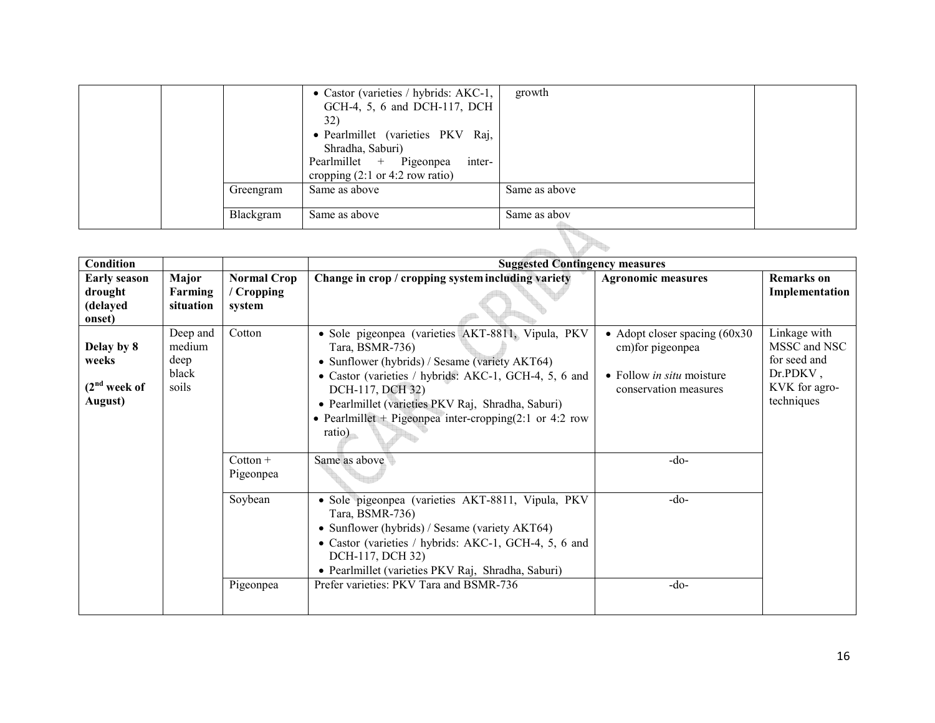|  |           | • Castor (varieties / hybrids: AKC-1,              | growth        |  |
|--|-----------|----------------------------------------------------|---------------|--|
|  |           | GCH-4, 5, 6 and DCH-117, DCH                       |               |  |
|  |           | 32)                                                |               |  |
|  |           | • Pearlmillet (varieties PKV Raj,                  |               |  |
|  |           | Shradha, Saburi)                                   |               |  |
|  |           | inter-<br>Pearlmillet + Pigeonpea                  |               |  |
|  |           | cropping $(2:1 \text{ or } 4:2 \text{ row ratio})$ |               |  |
|  | Greengram | Same as above                                      | Same as above |  |
|  |           |                                                    |               |  |
|  | Blackgram | Same as above                                      | Same as abov  |  |
|  |           |                                                    |               |  |

| <b>Condition</b>                                     |                                              |                                            | <b>Suggested Contingency measures</b>                                                                                                                                                                                                                                                                                          |                                                                                                                    |                                                                                         |
|------------------------------------------------------|----------------------------------------------|--------------------------------------------|--------------------------------------------------------------------------------------------------------------------------------------------------------------------------------------------------------------------------------------------------------------------------------------------------------------------------------|--------------------------------------------------------------------------------------------------------------------|-----------------------------------------------------------------------------------------|
| <b>Early season</b><br>drought<br>(delayed<br>onset) | Major<br>Farming<br>situation                | <b>Normal Crop</b><br>/ Cropping<br>system | Change in crop / cropping system including variety                                                                                                                                                                                                                                                                             | <b>Agronomic measures</b>                                                                                          | <b>Remarks</b> on<br>Implementation                                                     |
| Delay by 8<br>weeks<br>$(2nd$ week of<br>August)     | Deep and<br>medium<br>deep<br>black<br>soils | Cotton                                     | · Sole pigeonpea (varieties AKT-8811, Vipula, PKV<br>Tara, BSMR-736)<br>• Sunflower (hybrids) / Sesame (variety AKT64)<br>• Castor (varieties / hybrids: AKC-1, GCH-4, 5, 6 and<br>DCH-117, DCH 32)<br>· Pearlmillet (varieties PKV Raj, Shradha, Saburi)<br>• Pearlmillet + Pigeonpea inter-cropping(2:1 or 4:2 row<br>ratio) | • Adopt closer spacing $(60x30)$<br>cm) for pigeonpea<br>• Follow <i>in situ</i> moisture<br>conservation measures | Linkage with<br>MSSC and NSC<br>for seed and<br>Dr.PDKV,<br>KVK for agro-<br>techniques |
|                                                      |                                              | $Cottom +$<br>Pigeonpea                    | Same as above                                                                                                                                                                                                                                                                                                                  | $-do-$                                                                                                             |                                                                                         |
|                                                      |                                              | Soybean                                    | • Sole pigeonpea (varieties AKT-8811, Vipula, PKV<br>Tara, BSMR-736)<br>• Sunflower (hybrids) / Sesame (variety AKT64)<br>• Castor (varieties / hybrids: AKC-1, GCH-4, 5, 6 and<br>DCH-117, DCH 32)<br>· Pearlmillet (varieties PKV Raj, Shradha, Saburi)                                                                      | $-do-$                                                                                                             |                                                                                         |
|                                                      |                                              | Pigeonpea                                  | Prefer varieties: PKV Tara and BSMR-736                                                                                                                                                                                                                                                                                        | $-do-$                                                                                                             |                                                                                         |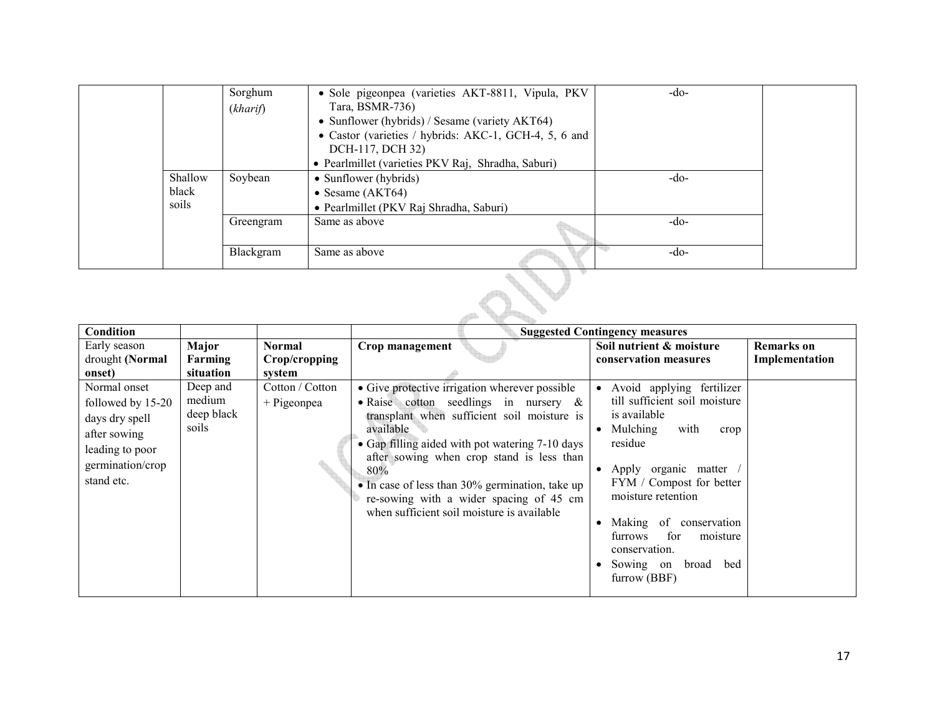|         | Sorghum   | · Sole pigeonpea (varieties AKT-8811, Vipula, PKV     | $-do-$ |  |
|---------|-----------|-------------------------------------------------------|--------|--|
|         | (kharif)  | Tara, BSMR-736)                                       |        |  |
|         |           | • Sunflower (hybrids) / Sesame (variety AKT64)        |        |  |
|         |           | • Castor (varieties / hybrids: AKC-1, GCH-4, 5, 6 and |        |  |
|         |           | DCH-117, DCH 32)                                      |        |  |
|         |           | • Pearlmillet (varieties PKV Raj, Shradha, Saburi)    |        |  |
| Shallow | Soybean   | • Sunflower (hybrids)                                 | $-do-$ |  |
| black   |           | • Sesame $(AKT64)$                                    |        |  |
| soils   |           | • Pearlmillet (PKV Raj Shradha, Saburi)               |        |  |
|         | Greengram | Same as above                                         | -do-   |  |
|         |           |                                                       |        |  |
|         | Blackgram | Same as above                                         | $-do-$ |  |
|         |           |                                                       |        |  |
|         |           |                                                       |        |  |
|         |           |                                                       |        |  |
|         |           |                                                       |        |  |

| Condition                                                                                                                |                                           |                                   |                                                                                                                                                                                                                                                                                                                                                                                                           | <b>Suggested Contingency measures</b>                                                                                                                                                                                                                                                                                         |                                     |
|--------------------------------------------------------------------------------------------------------------------------|-------------------------------------------|-----------------------------------|-----------------------------------------------------------------------------------------------------------------------------------------------------------------------------------------------------------------------------------------------------------------------------------------------------------------------------------------------------------------------------------------------------------|-------------------------------------------------------------------------------------------------------------------------------------------------------------------------------------------------------------------------------------------------------------------------------------------------------------------------------|-------------------------------------|
| Early season<br>drought (Normal<br>onset)                                                                                | Major<br>Farming<br>situation             | Normal<br>Crop/cropping<br>system | Crop management                                                                                                                                                                                                                                                                                                                                                                                           | Soil nutrient & moisture<br>conservation measures                                                                                                                                                                                                                                                                             | <b>Remarks</b> on<br>Implementation |
| Normal onset<br>followed by 15-20<br>days dry spell<br>after sowing<br>leading to poor<br>germination/crop<br>stand etc. | Deep and<br>medium<br>deep black<br>soils | Cotton / Cotton<br>$+$ Pigeonpea  | • Give protective irrigation wherever possible<br>• Raise cotton seedlings in nursery $\&$<br>transplant when sufficient soil moisture is<br>available<br>• Gap filling aided with pot watering 7-10 days<br>after sowing when crop stand is less than<br>80%<br>• In case of less than 30% germination, take up<br>re-sowing with a wider spacing of 45 cm<br>when sufficient soil moisture is available | • Avoid applying fertilizer<br>till sufficient soil moisture<br>is available<br>$\bullet$ Mulching<br>with<br>crop<br>residue<br>Apply organic matter<br>FYM / Compost for better<br>moisture retention<br>Making of conservation<br>for<br>furrows<br>moisture<br>conservation.<br>Sowing on<br>bed<br>broad<br>furrow (BBF) |                                     |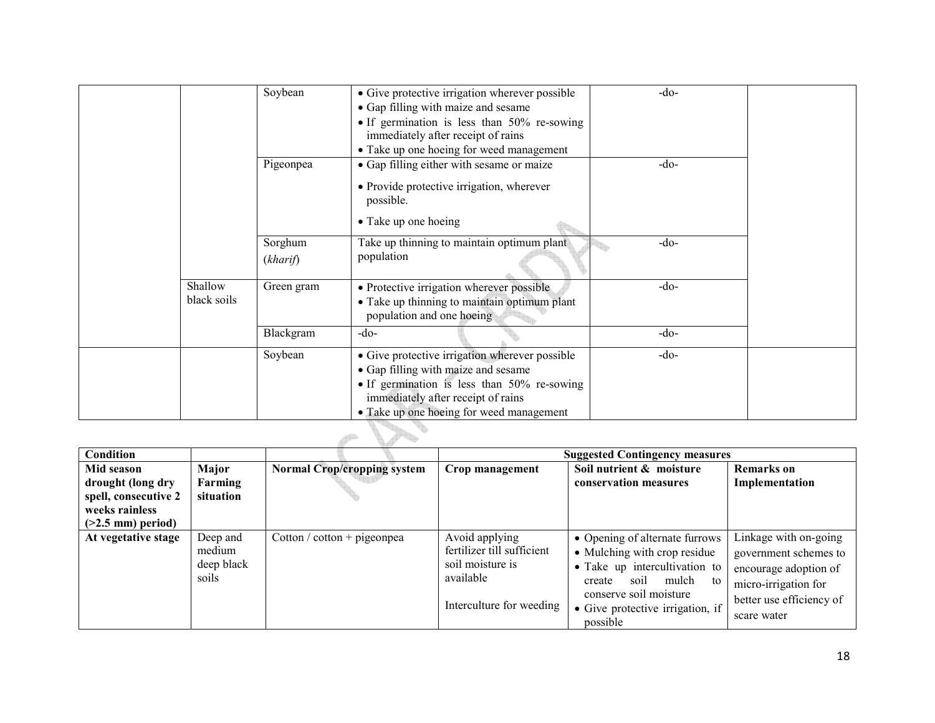|             | Soybean    | • Give protective irrigation wherever possible<br>• Gap filling with maize and sesame | $-do-$ |  |
|-------------|------------|---------------------------------------------------------------------------------------|--------|--|
|             |            | • If germination is less than $50\%$ re-sowing                                        |        |  |
|             |            | immediately after receipt of rains                                                    |        |  |
|             |            | • Take up one hoeing for weed management                                              |        |  |
|             | Pigeonpea  | • Gap filling either with sesame or maize                                             | $-do-$ |  |
|             |            | • Provide protective irrigation, wherever<br>possible.                                |        |  |
|             |            | • Take up one hoeing                                                                  |        |  |
|             | Sorghum    | Take up thinning to maintain optimum plant                                            | $-do-$ |  |
|             | (kharif)   | population                                                                            |        |  |
| Shallow     | Green gram | • Protective irrigation wherever possible                                             | $-do-$ |  |
| black soils |            | • Take up thinning to maintain optimum plant<br>population and one hoeing             |        |  |
|             | Blackgram  | $-do-$                                                                                | $-do-$ |  |
|             | Soybean    | • Give protective irrigation wherever possible                                        | $-do-$ |  |
|             |            | • Gap filling with maize and sesame                                                   |        |  |
|             |            | • If germination is less than 50% re-sowing                                           |        |  |
|             |            | immediately after receipt of rains                                                    |        |  |
|             |            | • Take up one hoeing for weed management                                              |        |  |

| Condition                                                                                        |                                           |                                    |                                                                                                           | <b>Suggested Contingency measures</b>                                                                                                                                                                      |                                                                                                                                            |
|--------------------------------------------------------------------------------------------------|-------------------------------------------|------------------------------------|-----------------------------------------------------------------------------------------------------------|------------------------------------------------------------------------------------------------------------------------------------------------------------------------------------------------------------|--------------------------------------------------------------------------------------------------------------------------------------------|
| Mid season<br>drought (long dry<br>spell, consecutive 2<br>weeks rainless<br>$(>2.5$ mm) period) | Major<br>Farming<br>situation             | <b>Normal Crop/cropping system</b> | Crop management                                                                                           | Soil nutrient & moisture<br>conservation measures                                                                                                                                                          | <b>Remarks</b> on<br>Implementation                                                                                                        |
| At vegetative stage                                                                              | Deep and<br>medium<br>deep black<br>soils | Cotton / cotton + pigeonpea        | Avoid applying<br>fertilizer till sufficient<br>soil moisture is<br>available<br>Interculture for weeding | • Opening of alternate furrows<br>• Mulching with crop residue<br>• Take up intercultivation to<br>soil<br>mulch<br>create<br>to<br>conserve soil moisture<br>• Give protective irrigation, if<br>possible | Linkage with on-going<br>government schemes to<br>encourage adoption of<br>micro-irrigation for<br>better use efficiency of<br>scare water |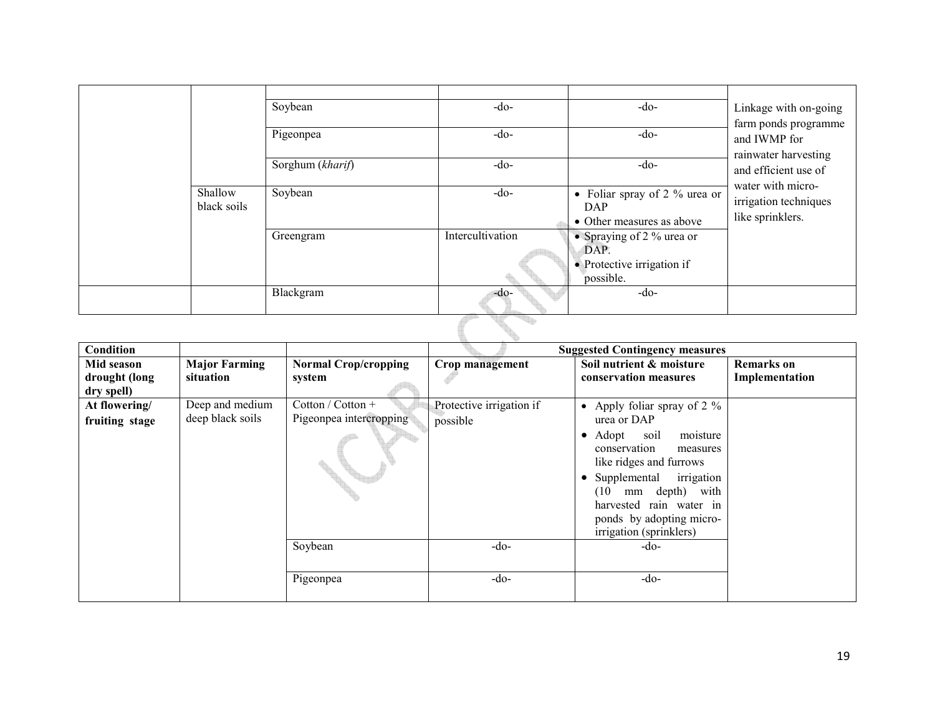| Shallow<br>black soils | Soybean<br>Pigeonpea<br>Sorghum (kharif)<br>Soybean<br>Greengram | $-do-$<br>$-do-$<br>$-do-$<br>$-do-$<br>Intercultivation | $-do-$<br>$-do-$<br>$-do-$<br>• Foliar spray of 2 $%$ urea or<br><b>DAP</b><br>• Other measures as above<br>• Spraying of 2 $%$ urea or<br>DAP.<br>• Protective irrigation if<br>possible. | Linkage with on-going<br>farm ponds programme<br>and IWMP for<br>rainwater harvesting<br>and efficient use of<br>water with micro-<br>irrigation techniques<br>like sprinklers. |
|------------------------|------------------------------------------------------------------|----------------------------------------------------------|--------------------------------------------------------------------------------------------------------------------------------------------------------------------------------------------|---------------------------------------------------------------------------------------------------------------------------------------------------------------------------------|
|                        | Blackgram                                                        | $-do-$                                                   | $-do-$                                                                                                                                                                                     |                                                                                                                                                                                 |
|                        |                                                                  |                                                          |                                                                                                                                                                                            |                                                                                                                                                                                 |

| <b>Condition</b>                          |                                     |                                              |                                      | <b>Suggested Contingency measures</b>                                                                                                                                                                                                                                                   |                                     |
|-------------------------------------------|-------------------------------------|----------------------------------------------|--------------------------------------|-----------------------------------------------------------------------------------------------------------------------------------------------------------------------------------------------------------------------------------------------------------------------------------------|-------------------------------------|
| Mid season<br>drought (long<br>dry spell) | <b>Major Farming</b><br>situation   | <b>Normal Crop/cropping</b><br>system        | Crop management                      | Soil nutrient & moisture<br>conservation measures                                                                                                                                                                                                                                       | <b>Remarks</b> on<br>Implementation |
| At flowering/<br>fruiting stage           | Deep and medium<br>deep black soils | Cotton / Cotton +<br>Pigeonpea intercropping | Protective irrigation if<br>possible | • Apply foliar spray of 2 $\%$<br>urea or DAP<br>Adopt<br>moisture<br>soil<br>$\bullet$<br>conservation<br>measures<br>like ridges and furrows<br>Supplemental<br>irrigation<br>mm depth) with<br>(10<br>harvested rain water in<br>ponds by adopting micro-<br>irrigation (sprinklers) |                                     |
|                                           |                                     | Soybean                                      | $-do$                                | $-do-$                                                                                                                                                                                                                                                                                  |                                     |
|                                           |                                     | Pigeonpea                                    | $-do-$                               | $-do-$                                                                                                                                                                                                                                                                                  |                                     |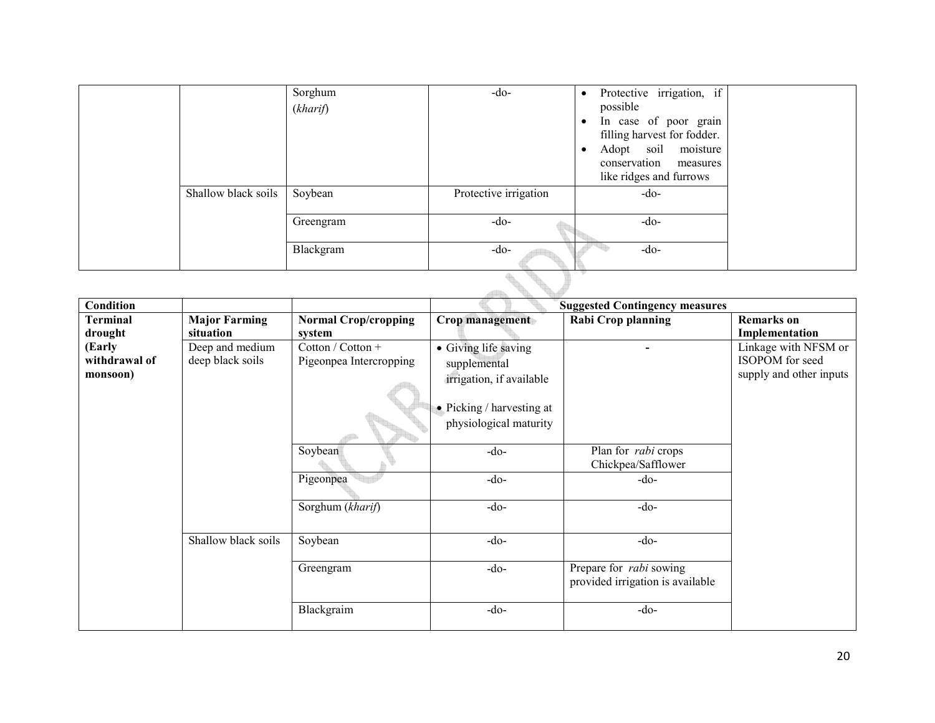|                     | Sorghum<br>(kharif) | $-do-$                | Protective irrigation, if<br>$\bullet$<br>possible<br>In case of poor grain<br>$\bullet$<br>filling harvest for fodder.<br>Adopt soil moisture<br>٠<br>conservation measures<br>like ridges and furrows |  |  |  |
|---------------------|---------------------|-----------------------|---------------------------------------------------------------------------------------------------------------------------------------------------------------------------------------------------------|--|--|--|
| Shallow black soils | Soybean             | Protective irrigation | $-do-$                                                                                                                                                                                                  |  |  |  |
|                     | Greengram           | $-do-$                | $-do-$                                                                                                                                                                                                  |  |  |  |
|                     | Blackgram           | $-do-$                | -do-                                                                                                                                                                                                    |  |  |  |
|                     |                     |                       |                                                                                                                                                                                                         |  |  |  |

| Condition       |                      |                             |                                   | <b>Suggested Contingency measures</b>                              |                         |
|-----------------|----------------------|-----------------------------|-----------------------------------|--------------------------------------------------------------------|-------------------------|
| <b>Terminal</b> | <b>Major Farming</b> | <b>Normal Crop/cropping</b> | Crop management                   | <b>Rabi Crop planning</b>                                          | <b>Remarks</b> on       |
| drought         | situation            | system                      |                                   |                                                                    | Implementation          |
| (Early          | Deep and medium      | Cotton / Cotton +           | • Giving life saving              |                                                                    | Linkage with NFSM or    |
| withdrawal of   | deep black soils     | Pigeonpea Intercropping     | supplemental                      |                                                                    | ISOPOM for seed         |
| monsoon)        |                      |                             | irrigation, if available          |                                                                    | supply and other inputs |
|                 |                      |                             | $\bullet$ Picking / harvesting at |                                                                    |                         |
|                 |                      |                             | physiological maturity            |                                                                    |                         |
|                 |                      | Soybean                     | $-do-$                            | Plan for <i>rabi</i> crops<br>Chickpea/Safflower                   |                         |
|                 |                      | Pigeonpea                   | $-do-$                            | $-do-$                                                             |                         |
|                 |                      | Sorghum (kharif)            | $-do-$                            | $-do-$                                                             |                         |
|                 | Shallow black soils  | Soybean                     | $-do-$                            | $-do-$                                                             |                         |
|                 |                      | Greengram                   | $-do-$                            | Prepare for <i>rabi</i> sowing<br>provided irrigation is available |                         |
|                 |                      | Blackgraim                  | $-do-$                            | $-do-$                                                             |                         |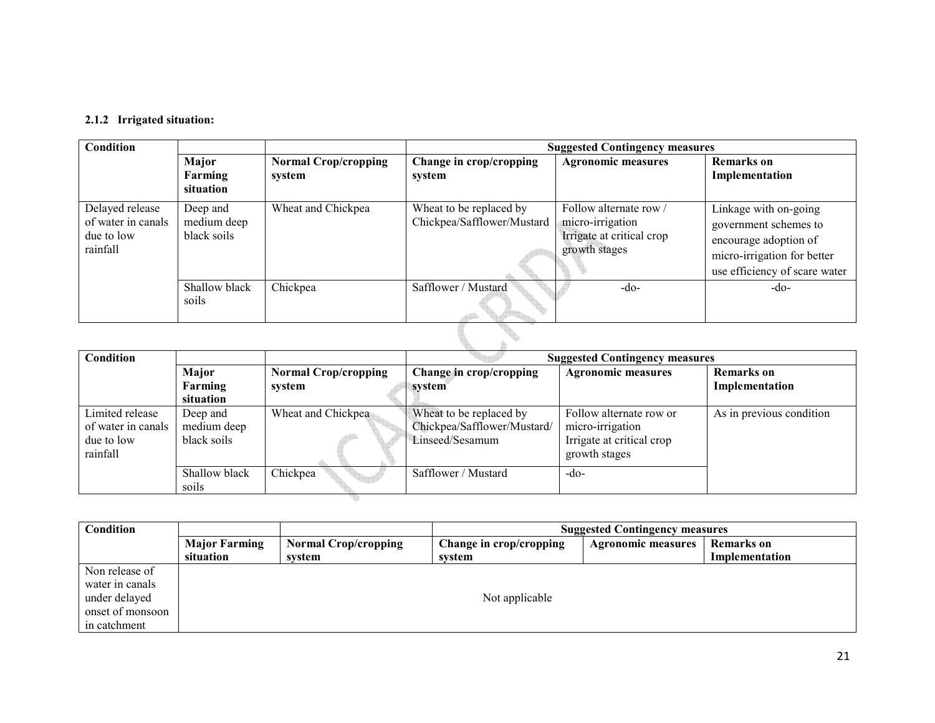#### 2.1.2 Irrigated situation:

| <b>Condition</b>                                                | <b>Suggested Contingency measures</b>  |                                       |                                                       |                                                                                        |                                                                                                                                         |  |  |
|-----------------------------------------------------------------|----------------------------------------|---------------------------------------|-------------------------------------------------------|----------------------------------------------------------------------------------------|-----------------------------------------------------------------------------------------------------------------------------------------|--|--|
|                                                                 | Major<br>Farming<br>situation          | <b>Normal Crop/cropping</b><br>system | Change in crop/cropping<br>system                     | <b>Agronomic measures</b>                                                              | <b>Remarks</b> on<br>Implementation                                                                                                     |  |  |
| Delayed release<br>of water in canals<br>due to low<br>rainfall | Deep and<br>medium deep<br>black soils | Wheat and Chickpea                    | Wheat to be replaced by<br>Chickpea/Safflower/Mustard | Follow alternate row<br>micro-irrigation<br>Irrigate at critical crop<br>growth stages | Linkage with on-going<br>government schemes to<br>encourage adoption of<br>micro-irrigation for better<br>use efficiency of scare water |  |  |
|                                                                 | Shallow black<br>soils                 | Chickpea                              | Safflower / Mustard                                   | $-do-$                                                                                 | $-do-$                                                                                                                                  |  |  |
|                                                                 |                                        |                                       |                                                       |                                                                                        |                                                                                                                                         |  |  |

| Condition          |               |                             |                             | <b>Suggested Contingency measures</b> |                          |  |  |  |
|--------------------|---------------|-----------------------------|-----------------------------|---------------------------------------|--------------------------|--|--|--|
|                    | Major         | <b>Normal Crop/cropping</b> | Change in crop/cropping     | <b>Agronomic measures</b>             | <b>Remarks</b> on        |  |  |  |
|                    | Farming       | system                      | system                      |                                       | Implementation           |  |  |  |
|                    | situation     |                             |                             |                                       |                          |  |  |  |
| Limited release    | Deep and      | Wheat and Chickpea          | Wheat to be replaced by     | Follow alternate row or               | As in previous condition |  |  |  |
| of water in canals | medium deep   |                             | Chickpea/Safflower/Mustard/ | micro-irrigation                      |                          |  |  |  |
| due to low         | black soils   |                             | Linseed/Sesamum             | Irrigate at critical crop             |                          |  |  |  |
| rainfall           |               |                             |                             | growth stages                         |                          |  |  |  |
|                    | Shallow black | Chickpea                    | Safflower / Mustard         | $-do-$                                |                          |  |  |  |
|                    | soils         |                             |                             |                                       |                          |  |  |  |
|                    |               |                             |                             |                                       |                          |  |  |  |

| <b>Condition</b> | <b>Suggested Contingency measures</b>               |        |                         |                           |                |  |  |  |
|------------------|-----------------------------------------------------|--------|-------------------------|---------------------------|----------------|--|--|--|
|                  | <b>Major Farming</b><br><b>Normal Crop/cropping</b> |        | Change in crop/cropping | <b>Agronomic measures</b> | Remarks on     |  |  |  |
|                  | situation                                           | system | system                  |                           | Implementation |  |  |  |
| Non release of   |                                                     |        |                         |                           |                |  |  |  |
| water in canals  |                                                     |        |                         |                           |                |  |  |  |
| under delayed    | Not applicable                                      |        |                         |                           |                |  |  |  |
| onset of monsoon |                                                     |        |                         |                           |                |  |  |  |
| in catchment     |                                                     |        |                         |                           |                |  |  |  |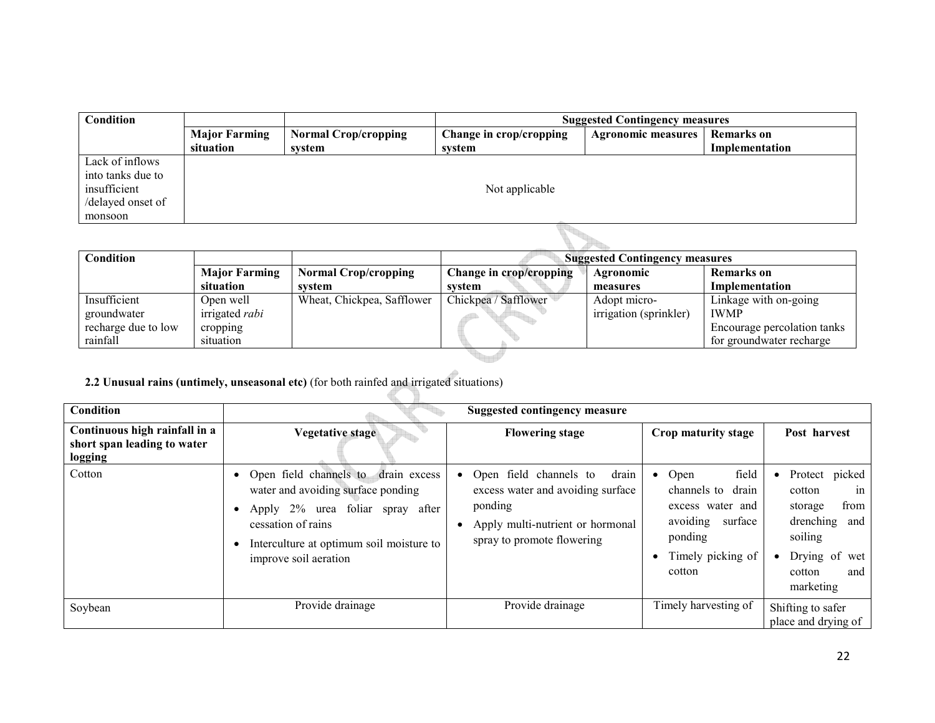| Condition         |                      |                             | <b>Suggested Contingency measures</b> |                           |                   |  |
|-------------------|----------------------|-----------------------------|---------------------------------------|---------------------------|-------------------|--|
|                   | <b>Major Farming</b> | <b>Normal Crop/cropping</b> | Change in crop/cropping               | <b>Agronomic measures</b> | <b>Remarks</b> on |  |
|                   | situation            | system                      | system                                |                           | Implementation    |  |
| Lack of inflows   |                      |                             |                                       |                           |                   |  |
| into tanks due to |                      |                             |                                       |                           |                   |  |
| insufficient      |                      |                             | Not applicable                        |                           |                   |  |
| /delayed onset of |                      |                             |                                       |                           |                   |  |
| monsoon           |                      |                             |                                       |                           |                   |  |

| Condition           |                      |                             | <b>Suggested Contingency measures</b> |                        |                             |
|---------------------|----------------------|-----------------------------|---------------------------------------|------------------------|-----------------------------|
|                     | <b>Major Farming</b> | <b>Normal Crop/cropping</b> | Change in crop/cropping               | Agronomic              | Remarks on                  |
|                     | situation            | system                      | system                                | measures               | Implementation              |
| Insufficient        | Open well            | Wheat, Chickpea, Safflower  | Chickpea / Safflower                  | Adopt micro-           | Linkage with on-going       |
| groundwater         | irrigated rabi       |                             |                                       | irrigation (sprinkler) | <b>IWMP</b>                 |
| recharge due to low | cropping             |                             |                                       |                        | Encourage percolation tanks |
| rainfall            | situation            |                             |                                       |                        | for groundwater recharge    |
|                     |                      |                             |                                       |                        |                             |

### 2.2 Unusual rains (untimely, unseasonal etc) (for both rainfed and irrigated situations)

| <b>Condition</b>                                                        | <b>Suggested contingency measure</b>                                                                                                                                                                        |                                                                                                                                                                |                                                                                                                            |                                                                                                                                              |  |
|-------------------------------------------------------------------------|-------------------------------------------------------------------------------------------------------------------------------------------------------------------------------------------------------------|----------------------------------------------------------------------------------------------------------------------------------------------------------------|----------------------------------------------------------------------------------------------------------------------------|----------------------------------------------------------------------------------------------------------------------------------------------|--|
| Continuous high rainfall in a<br>short span leading to water<br>logging | <b>Vegetative stage</b>                                                                                                                                                                                     | <b>Flowering stage</b>                                                                                                                                         | Crop maturity stage                                                                                                        | Post harvest                                                                                                                                 |  |
| Cotton                                                                  | Open field channels to drain excess<br>water and avoiding surface ponding<br>foliar spray after<br>Apply 2% urea<br>cessation of rains<br>Interculture at optimum soil moisture to<br>improve soil aeration | drain<br>Open field channels to<br>$\bullet$<br>excess water and avoiding surface<br>ponding<br>Apply multi-nutrient or hormonal<br>spray to promote flowering | field<br>Open<br>drain<br>channels to<br>excess water and<br>avoiding<br>surface<br>ponding<br>Timely picking of<br>cotton | Protect picked<br>$\bullet$<br>in<br>cotton<br>from<br>storage<br>drenching<br>and<br>soiling<br>Drying of wet<br>and<br>cotton<br>marketing |  |
| Soybean                                                                 | Provide drainage                                                                                                                                                                                            | Provide drainage                                                                                                                                               | Timely harvesting of                                                                                                       | Shifting to safer<br>place and drying of                                                                                                     |  |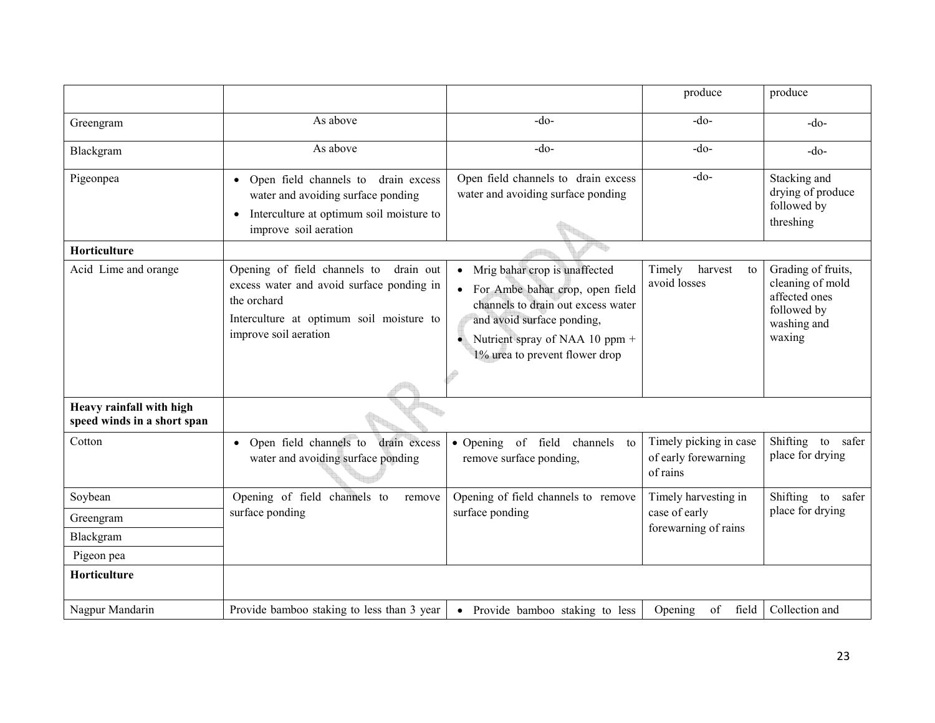|                                                         |                                                                                                                                                                            |                                                                                                                                                                                                          | produce                                                    | produce                                                                                         |
|---------------------------------------------------------|----------------------------------------------------------------------------------------------------------------------------------------------------------------------------|----------------------------------------------------------------------------------------------------------------------------------------------------------------------------------------------------------|------------------------------------------------------------|-------------------------------------------------------------------------------------------------|
| Greengram                                               | As above                                                                                                                                                                   | $-do$                                                                                                                                                                                                    | $-do-$                                                     | $-do-$                                                                                          |
| Blackgram                                               | As above                                                                                                                                                                   | $-do$                                                                                                                                                                                                    | $-do-$                                                     | $-do$                                                                                           |
| Pigeonpea                                               | drain excess<br>• Open field channels to<br>water and avoiding surface ponding<br>Interculture at optimum soil moisture to<br>$\bullet$<br>improve soil aeration           | Open field channels to drain excess<br>water and avoiding surface ponding                                                                                                                                | $-do$ -                                                    | Stacking and<br>drying of produce<br>followed by<br>threshing                                   |
| Horticulture                                            |                                                                                                                                                                            |                                                                                                                                                                                                          |                                                            |                                                                                                 |
| Acid Lime and orange                                    | Opening of field channels to<br>drain out<br>excess water and avoid surface ponding in<br>the orchard<br>Interculture at optimum soil moisture to<br>improve soil aeration | Mrig bahar crop is unaffected<br>For Ambe bahar crop, open field<br>channels to drain out excess water<br>and avoid surface ponding,<br>Nutrient spray of NAA 10 ppm +<br>1% urea to prevent flower drop | harvest<br>Timely<br>to<br>avoid losses                    | Grading of fruits,<br>cleaning of mold<br>affected ones<br>followed by<br>washing and<br>waxing |
| Heavy rainfall with high<br>speed winds in a short span |                                                                                                                                                                            |                                                                                                                                                                                                          |                                                            |                                                                                                 |
| Cotton                                                  | Open field channels to<br>drain excess<br>$\bullet$<br>water and avoiding surface ponding                                                                                  | · Opening of field<br>channels<br>to<br>remove surface ponding,                                                                                                                                          | Timely picking in case<br>of early forewarning<br>of rains | Shifting<br>to<br>safer<br>place for drying                                                     |
| Soybean                                                 | Opening of field channels to<br>remove                                                                                                                                     | Opening of field channels to remove                                                                                                                                                                      | Timely harvesting in                                       | Shifting to safer                                                                               |
| Greengram                                               | surface ponding                                                                                                                                                            | surface ponding                                                                                                                                                                                          | case of early                                              | place for drying                                                                                |
| Blackgram                                               |                                                                                                                                                                            |                                                                                                                                                                                                          | forewarning of rains                                       |                                                                                                 |
| Pigeon pea                                              |                                                                                                                                                                            |                                                                                                                                                                                                          |                                                            |                                                                                                 |
| Horticulture                                            |                                                                                                                                                                            |                                                                                                                                                                                                          |                                                            |                                                                                                 |
| Nagpur Mandarin                                         | Provide bamboo staking to less than 3 year                                                                                                                                 | • Provide bamboo staking to less                                                                                                                                                                         | Opening<br>of<br>field                                     | Collection and                                                                                  |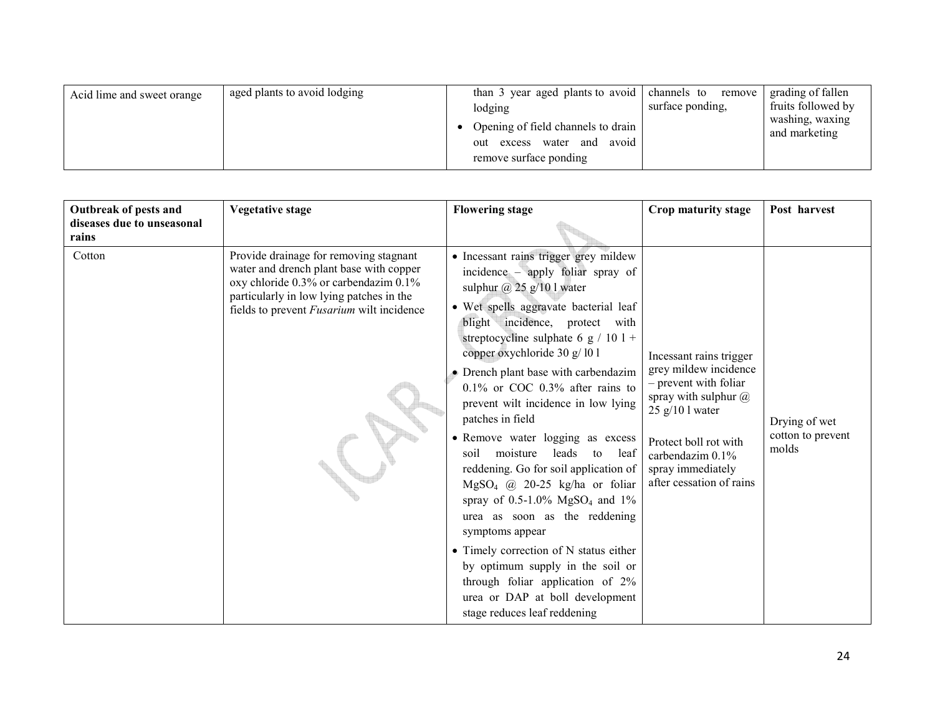| aged plants to avoid lodging<br>Acid lime and sweet orange | than 3 year aged plants to avoid<br>lodging<br>Opening of field channels to drain<br>avoid<br>out excess water<br>and<br>remove surface ponding | channels to remove<br>surface ponding, | grading of fallen<br>fruits followed by<br>washing, waxing<br>and marketing |
|------------------------------------------------------------|-------------------------------------------------------------------------------------------------------------------------------------------------|----------------------------------------|-----------------------------------------------------------------------------|
|------------------------------------------------------------|-------------------------------------------------------------------------------------------------------------------------------------------------|----------------------------------------|-----------------------------------------------------------------------------|

| Outbreak of pests and<br>diseases due to unseasonal | <b>Vegetative stage</b>                                                                                                                                                                                                    | <b>Flowering stage</b>                                                                                                                                                                                                                                                                                                                                                                                                                                                                                                                                                                                                                                                                                                                                                                                                                                                     | Crop maturity stage                                                                                                                                                                                                    | Post harvest                                |
|-----------------------------------------------------|----------------------------------------------------------------------------------------------------------------------------------------------------------------------------------------------------------------------------|----------------------------------------------------------------------------------------------------------------------------------------------------------------------------------------------------------------------------------------------------------------------------------------------------------------------------------------------------------------------------------------------------------------------------------------------------------------------------------------------------------------------------------------------------------------------------------------------------------------------------------------------------------------------------------------------------------------------------------------------------------------------------------------------------------------------------------------------------------------------------|------------------------------------------------------------------------------------------------------------------------------------------------------------------------------------------------------------------------|---------------------------------------------|
| rains                                               |                                                                                                                                                                                                                            |                                                                                                                                                                                                                                                                                                                                                                                                                                                                                                                                                                                                                                                                                                                                                                                                                                                                            |                                                                                                                                                                                                                        |                                             |
| Cotton                                              | Provide drainage for removing stagnant<br>water and drench plant base with copper<br>oxy chloride 0.3% or carbendazim 0.1%<br>particularly in low lying patches in the<br>fields to prevent <i>Fusarium</i> wilt incidence | • Incessant rains trigger grey mildew<br>incidence – apply foliar spray of<br>sulphur $\omega$ 25 g/10 l water<br>· Wet spells aggravate bacterial leaf<br>blight incidence, protect with<br>streptocycline sulphate 6 g / 10 l +<br>copper oxychloride 30 g/101<br>• Drench plant base with carbendazim<br>$0.1\%$ or COC 0.3% after rains to<br>prevent wilt incidence in low lying<br>patches in field<br>• Remove water logging as excess<br>moisture<br>leads<br>soil<br>to<br>leaf<br>reddening. Go for soil application of<br>$MgSO_4$ @ 20-25 kg/ha or foliar<br>spray of $0.5{\text -}1.0\%$ MgSO <sub>4</sub> and $1\%$<br>urea as soon as the reddening<br>symptoms appear<br>• Timely correction of N status either<br>by optimum supply in the soil or<br>through foliar application of 2%<br>urea or DAP at boll development<br>stage reduces leaf reddening | Incessant rains trigger<br>grey mildew incidence<br>- prevent with foliar<br>spray with sulphur $@$<br>$25$ g/10 l water<br>Protect boll rot with<br>carbendazim 0.1%<br>spray immediately<br>after cessation of rains | Drying of wet<br>cotton to prevent<br>molds |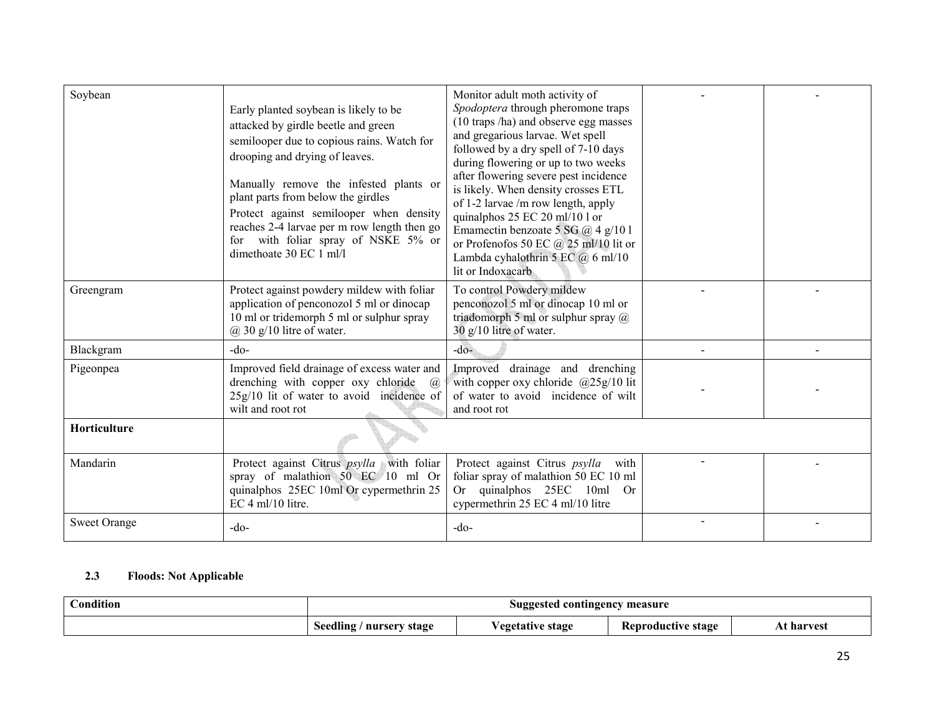| Soybean             | Early planted soybean is likely to be<br>attacked by girdle beetle and green<br>semilooper due to copious rains. Watch for<br>drooping and drying of leaves.<br>Manually remove the infested plants or<br>plant parts from below the girdles<br>Protect against semilooper when density<br>reaches 2-4 larvae per m row length then go<br>for with foliar spray of NSKE 5% or<br>dimethoate 30 EC 1 ml/l | Monitor adult moth activity of<br>Spodoptera through pheromone traps<br>(10 traps /ha) and observe egg masses<br>and gregarious larvae. Wet spell<br>followed by a dry spell of 7-10 days<br>during flowering or up to two weeks<br>after flowering severe pest incidence<br>is likely. When density crosses ETL<br>of 1-2 larvae /m row length, apply<br>quinalphos 25 EC 20 ml/10 l or<br>Emamectin benzoate 5 SG @ 4 g/101<br>or Profenofos 50 EC $@$ 25 ml/10 lit or<br>Lambda cyhalothrin 5 EC $@6$ ml/10<br>lit or Indoxacarb |  |
|---------------------|----------------------------------------------------------------------------------------------------------------------------------------------------------------------------------------------------------------------------------------------------------------------------------------------------------------------------------------------------------------------------------------------------------|-------------------------------------------------------------------------------------------------------------------------------------------------------------------------------------------------------------------------------------------------------------------------------------------------------------------------------------------------------------------------------------------------------------------------------------------------------------------------------------------------------------------------------------|--|
| Greengram           | Protect against powdery mildew with foliar<br>application of penconozol 5 ml or dinocap<br>10 ml or tridemorph 5 ml or sulphur spray<br>$@30 g/10$ litre of water.                                                                                                                                                                                                                                       | To control Powdery mildew<br>penconozol 5 ml or dinocap 10 ml or<br>triadomorph 5 ml or sulphur spray $@$<br>30 g/10 litre of water.                                                                                                                                                                                                                                                                                                                                                                                                |  |
| Blackgram           | $-do-$                                                                                                                                                                                                                                                                                                                                                                                                   | $-do-$                                                                                                                                                                                                                                                                                                                                                                                                                                                                                                                              |  |
| Pigeonpea           | Improved field drainage of excess water and<br>drenching with copper oxy chloride<br>$\varpi$<br>25g/10 lit of water to avoid incidence of<br>wilt and root rot                                                                                                                                                                                                                                          | Improved drainage and drenching<br>with copper oxy chloride $@25g/10$ lit<br>of water to avoid incidence of wilt<br>and root rot                                                                                                                                                                                                                                                                                                                                                                                                    |  |
| Horticulture        |                                                                                                                                                                                                                                                                                                                                                                                                          |                                                                                                                                                                                                                                                                                                                                                                                                                                                                                                                                     |  |
| Mandarin            | Protect against Citrus <i>psylla</i> with foliar<br>spray of malathion 50 EC 10 ml Or<br>quinalphos 25EC 10ml Or cypermethrin 25<br>EC 4 ml/10 litre.                                                                                                                                                                                                                                                    | Protect against Citrus psylla<br>with<br>foliar spray of malathion 50 EC 10 ml<br>Or quinalphos 25EC 10ml<br><b>Or</b><br>cypermethrin 25 EC 4 ml/10 litre                                                                                                                                                                                                                                                                                                                                                                          |  |
| <b>Sweet Orange</b> | $-do-$                                                                                                                                                                                                                                                                                                                                                                                                   | $-do-$                                                                                                                                                                                                                                                                                                                                                                                                                                                                                                                              |  |

#### 2.3 Floods: Not Applicable

| ondition'<br>$\sim$ |                             | Suggested contingency measure |                           |         |
|---------------------|-----------------------------|-------------------------------|---------------------------|---------|
|                     | Seedling<br>' nursery stage | Vegetative stage              | <b>Reproductive stage</b> | harvest |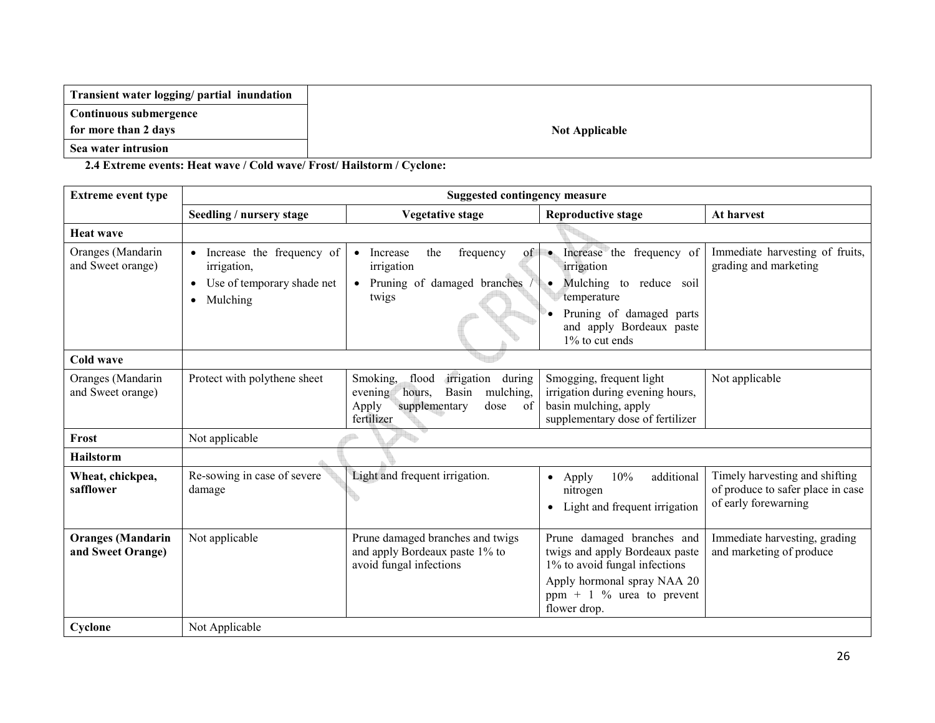| Transient water logging/ partial inundation |
|---------------------------------------------|
| Continuous submergence                      |
| for more than 2 days                        |
| Sea water intrusion                         |

2.4 Extreme events: Heat wave / Cold wave/ Frost/ Hailstorm / Cyclone:

| <b>Extreme event type</b>                     | <b>Suggested contingency measure</b>                                                                         |                                                                                                                                            |                                                                                                                                                                                         |                                                                                             |  |  |
|-----------------------------------------------|--------------------------------------------------------------------------------------------------------------|--------------------------------------------------------------------------------------------------------------------------------------------|-----------------------------------------------------------------------------------------------------------------------------------------------------------------------------------------|---------------------------------------------------------------------------------------------|--|--|
|                                               | Seedling / nursery stage                                                                                     | <b>Vegetative stage</b>                                                                                                                    | <b>Reproductive stage</b>                                                                                                                                                               | At harvest                                                                                  |  |  |
| <b>Heat wave</b>                              |                                                                                                              |                                                                                                                                            |                                                                                                                                                                                         |                                                                                             |  |  |
| Oranges (Mandarin<br>and Sweet orange)        | Increase the frequency of<br>irrigation,<br>Use of temporary shade net<br>$\bullet$<br>Mulching<br>$\bullet$ | of<br>the<br>frequency<br>Increase<br>$\bullet$<br>irrigation<br>Pruning of damaged branches<br>$\bullet$<br>twigs                         | Increase the frequency of<br>$\bullet$ .<br>irrigation<br>Mulching to reduce soil<br>$\bullet$<br>temperature<br>Pruning of damaged parts<br>and apply Bordeaux paste<br>1% to cut ends | Immediate harvesting of fruits,<br>grading and marketing                                    |  |  |
| Cold wave                                     |                                                                                                              |                                                                                                                                            |                                                                                                                                                                                         |                                                                                             |  |  |
| Oranges (Mandarin<br>and Sweet orange)        | Protect with polythene sheet                                                                                 | irrigation<br>flood<br>during<br>Smoking,<br>mulching,<br>hours,<br>Basin<br>evening<br>of<br>Apply<br>supplementary<br>dose<br>fertilizer | Smogging, frequent light<br>irrigation during evening hours,<br>basin mulching, apply<br>supplementary dose of fertilizer                                                               | Not applicable                                                                              |  |  |
| Frost                                         | Not applicable                                                                                               |                                                                                                                                            |                                                                                                                                                                                         |                                                                                             |  |  |
| <b>Hailstorm</b>                              |                                                                                                              |                                                                                                                                            |                                                                                                                                                                                         |                                                                                             |  |  |
| Wheat, chickpea,<br>safflower                 | Re-sowing in case of severe<br>damage                                                                        | Light and frequent irrigation.                                                                                                             | additional<br>10%<br>Apply<br>$\bullet$<br>nitrogen<br>Light and frequent irrigation<br>$\bullet$                                                                                       | Timely harvesting and shifting<br>of produce to safer place in case<br>of early forewarning |  |  |
| <b>Oranges</b> (Mandarin<br>and Sweet Orange) | Not applicable                                                                                               | Prune damaged branches and twigs<br>and apply Bordeaux paste 1% to<br>avoid fungal infections                                              | Prune damaged branches and<br>twigs and apply Bordeaux paste<br>1% to avoid fungal infections<br>Apply hormonal spray NAA 20<br>ppm + 1 $\%$ urea to prevent<br>flower drop.            | Immediate harvesting, grading<br>and marketing of produce                                   |  |  |
| Cyclone                                       | Not Applicable                                                                                               |                                                                                                                                            |                                                                                                                                                                                         |                                                                                             |  |  |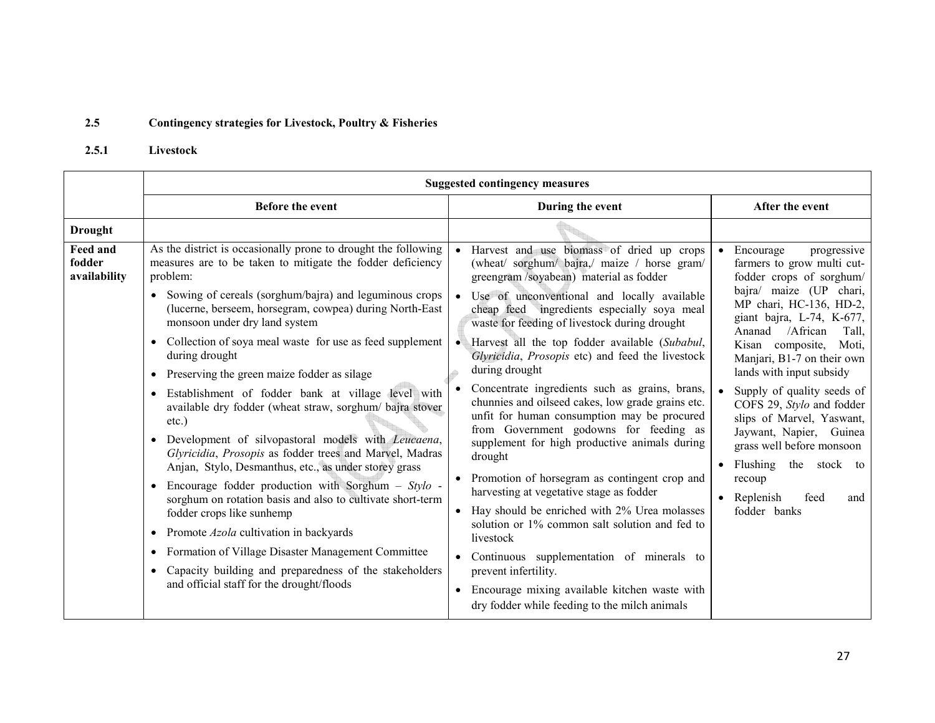#### 2.5Contingency strategies for Livestock, Poultry & Fisheries

#### 2.5.1 Livestock

|                                           | <b>Suggested contingency measures</b>                                                                                                                                                                                                                                                                                                                                                                                                                                                                                                                                                                                                                                                                                                                                                                                                                                                                                                                                                                                                                                                                          |                                                                                                                                                                                                                                                                                                                                                                                                                                                                                                                                                                                                                                                                                                                                                                                                                                                                                                                                                           |                                                                                                                                                                                                                                                                                                                                                                                                                                                                                                                                       |  |  |
|-------------------------------------------|----------------------------------------------------------------------------------------------------------------------------------------------------------------------------------------------------------------------------------------------------------------------------------------------------------------------------------------------------------------------------------------------------------------------------------------------------------------------------------------------------------------------------------------------------------------------------------------------------------------------------------------------------------------------------------------------------------------------------------------------------------------------------------------------------------------------------------------------------------------------------------------------------------------------------------------------------------------------------------------------------------------------------------------------------------------------------------------------------------------|-----------------------------------------------------------------------------------------------------------------------------------------------------------------------------------------------------------------------------------------------------------------------------------------------------------------------------------------------------------------------------------------------------------------------------------------------------------------------------------------------------------------------------------------------------------------------------------------------------------------------------------------------------------------------------------------------------------------------------------------------------------------------------------------------------------------------------------------------------------------------------------------------------------------------------------------------------------|---------------------------------------------------------------------------------------------------------------------------------------------------------------------------------------------------------------------------------------------------------------------------------------------------------------------------------------------------------------------------------------------------------------------------------------------------------------------------------------------------------------------------------------|--|--|
|                                           | Before the event                                                                                                                                                                                                                                                                                                                                                                                                                                                                                                                                                                                                                                                                                                                                                                                                                                                                                                                                                                                                                                                                                               | During the event                                                                                                                                                                                                                                                                                                                                                                                                                                                                                                                                                                                                                                                                                                                                                                                                                                                                                                                                          | After the event                                                                                                                                                                                                                                                                                                                                                                                                                                                                                                                       |  |  |
| <b>Drought</b>                            |                                                                                                                                                                                                                                                                                                                                                                                                                                                                                                                                                                                                                                                                                                                                                                                                                                                                                                                                                                                                                                                                                                                |                                                                                                                                                                                                                                                                                                                                                                                                                                                                                                                                                                                                                                                                                                                                                                                                                                                                                                                                                           |                                                                                                                                                                                                                                                                                                                                                                                                                                                                                                                                       |  |  |
| <b>Feed and</b><br>fodder<br>availability | As the district is occasionally prone to drought the following<br>measures are to be taken to mitigate the fodder deficiency<br>problem:<br>• Sowing of cereals (sorghum/bajra) and leguminous crops<br>(lucerne, berseem, horsegram, cowpea) during North-East<br>monsoon under dry land system<br>• Collection of soya meal waste for use as feed supplement<br>during drought<br>Preserving the green maize fodder as silage<br>$\bullet$<br>Establishment of fodder bank at village level with<br>available dry fodder (wheat straw, sorghum/ bajra stover<br>$etc.$ )<br>Development of silvopastoral models with Leucaena,<br>$\bullet$<br>Glyricidia, Prosopis as fodder trees and Marvel, Madras<br>Anjan, Stylo, Desmanthus, etc., as under storey grass<br>Encourage fodder production with Sorghum $-$ Stylo -<br>$\bullet$<br>sorghum on rotation basis and also to cultivate short-term<br>fodder crops like sunhemp<br>• Promote $Azola$ cultivation in backyards<br>• Formation of Village Disaster Management Committee<br>Capacity building and preparedness of the stakeholders<br>$\bullet$ | Harvest and use biomass of dried up crops<br>(wheat/ sorghum/ bajra,/ maize / horse gram/<br>greengram/soyabean) material as fodder<br>Use of unconventional and locally available<br>cheap feed ingredients especially soya meal<br>waste for feeding of livestock during drought<br>Harvest all the top fodder available (Subabul,<br>Glyricidia, Prosopis etc) and feed the livestock<br>during drought<br>Concentrate ingredients such as grains, brans,<br>chunnies and oilseed cakes, low grade grains etc.<br>unfit for human consumption may be procured<br>from Government godowns for feeding as<br>supplement for high productive animals during<br>drought<br>Promotion of horsegram as contingent crop and<br>harvesting at vegetative stage as fodder<br>• Hay should be enriched with 2% Urea molasses<br>solution or 1% common salt solution and fed to<br>livestock<br>Continuous supplementation of minerals to<br>prevent infertility. | • Encourage<br>progressive<br>farmers to grow multi cut-<br>fodder crops of sorghum/<br>bajra/ maize (UP chari,<br>MP chari, HC-136, HD-2,<br>giant bajra, L-74, K-677,<br>Ananad /African<br>Tall,<br>Kisan composite,<br>Moti,<br>Manjari, B1-7 on their own<br>lands with input subsidy<br>Supply of quality seeds of<br>COFS 29, Stylo and fodder<br>slips of Marvel, Yaswant,<br>Jaywant, Napier, Guinea<br>grass well before monsoon<br>• Flushing the stock to<br>recoup<br>$\bullet$ Replenish<br>feed<br>and<br>fodder banks |  |  |
|                                           | and official staff for the drought/floods                                                                                                                                                                                                                                                                                                                                                                                                                                                                                                                                                                                                                                                                                                                                                                                                                                                                                                                                                                                                                                                                      | Encourage mixing available kitchen waste with<br>$\bullet$<br>dry fodder while feeding to the milch animals                                                                                                                                                                                                                                                                                                                                                                                                                                                                                                                                                                                                                                                                                                                                                                                                                                               |                                                                                                                                                                                                                                                                                                                                                                                                                                                                                                                                       |  |  |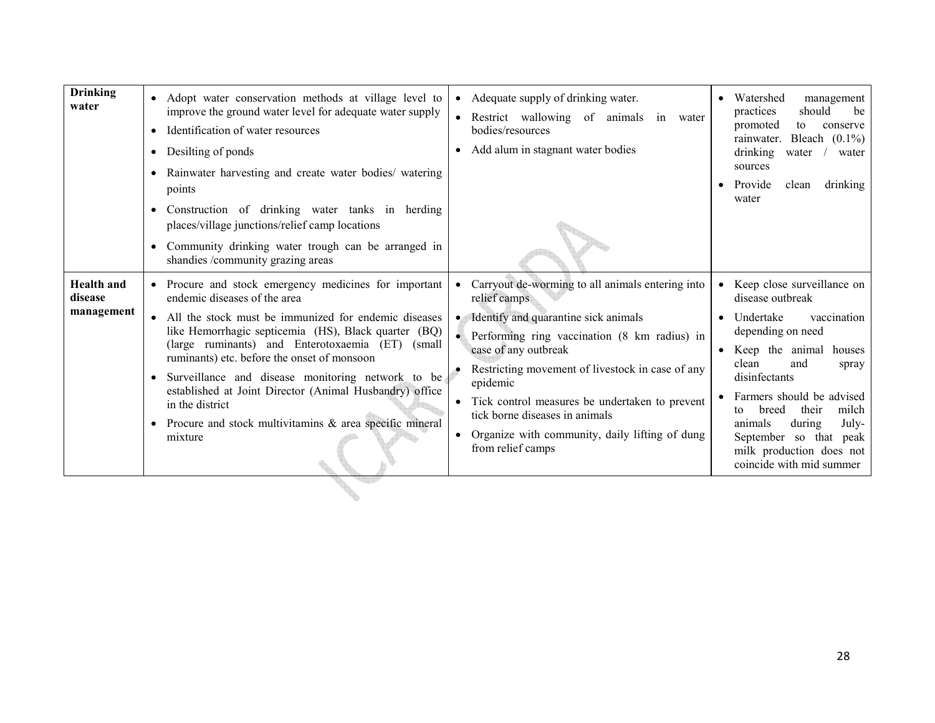| <b>Drinking</b><br>water                   | Adopt water conservation methods at village level to<br>$\bullet$<br>improve the ground water level for adequate water supply<br>Identification of water resources<br>$\bullet$<br>Desilting of ponds<br>$\bullet$<br>Rainwater harvesting and create water bodies/ watering<br>$\bullet$<br>points<br>Construction of drinking water tanks in herding<br>$\bullet$<br>places/village junctions/relief camp locations<br>Community drinking water trough can be arranged in<br>$\bullet$<br>shandies /community grazing areas                              | Adequate supply of drinking water.<br>Restrict wallowing of animals in water<br>bodies/resources<br>Add alum in stagnant water bodies<br>$\bullet$                                                                                                                                                                                                                                                                       | Watershed<br>management<br>should<br>practices<br>be<br>promoted<br>conserve<br>to<br>Bleach $(0.1\%)$<br>rainwater.<br>drinking<br>water<br>water<br>sources<br>Provide<br>clean<br>drinking<br>water                                                                                                                                              |
|--------------------------------------------|------------------------------------------------------------------------------------------------------------------------------------------------------------------------------------------------------------------------------------------------------------------------------------------------------------------------------------------------------------------------------------------------------------------------------------------------------------------------------------------------------------------------------------------------------------|--------------------------------------------------------------------------------------------------------------------------------------------------------------------------------------------------------------------------------------------------------------------------------------------------------------------------------------------------------------------------------------------------------------------------|-----------------------------------------------------------------------------------------------------------------------------------------------------------------------------------------------------------------------------------------------------------------------------------------------------------------------------------------------------|
| <b>Health</b> and<br>disease<br>management | Procure and stock emergency medicines for important<br>endemic diseases of the area<br>All the stock must be immunized for endemic diseases<br>$\bullet$<br>like Hemorrhagic septicemia (HS), Black quarter (BQ)<br>(large ruminants) and Enterotoxaemia (ET)<br>(small)<br>ruminants) etc. before the onset of monsoon<br>Surveillance and disease monitoring network to be<br>$\bullet$<br>established at Joint Director (Animal Husbandry) office<br>in the district<br>Procure and stock multivitamins & area specific mineral<br>$\bullet$<br>mixture | Carryout de-worming to all animals entering into<br>relief camps<br>Identify and quarantine sick animals<br>$\bullet$<br>Performing ring vaccination (8 km radius) in<br>case of any outbreak<br>Restricting movement of livestock in case of any<br>epidemic<br>Tick control measures be undertaken to prevent<br>tick borne diseases in animals<br>Organize with community, daily lifting of dung<br>from relief camps | • Keep close surveillance on<br>disease outbreak<br>Undertake<br>vaccination<br>depending on need<br>Keep the animal houses<br>clean<br>and<br>spray<br>disinfectants<br>Farmers should be advised<br>milch<br>their<br>breed<br>tο<br>animals<br>during<br>July-<br>September so that peak<br>milk production does not<br>coincide with mid summer |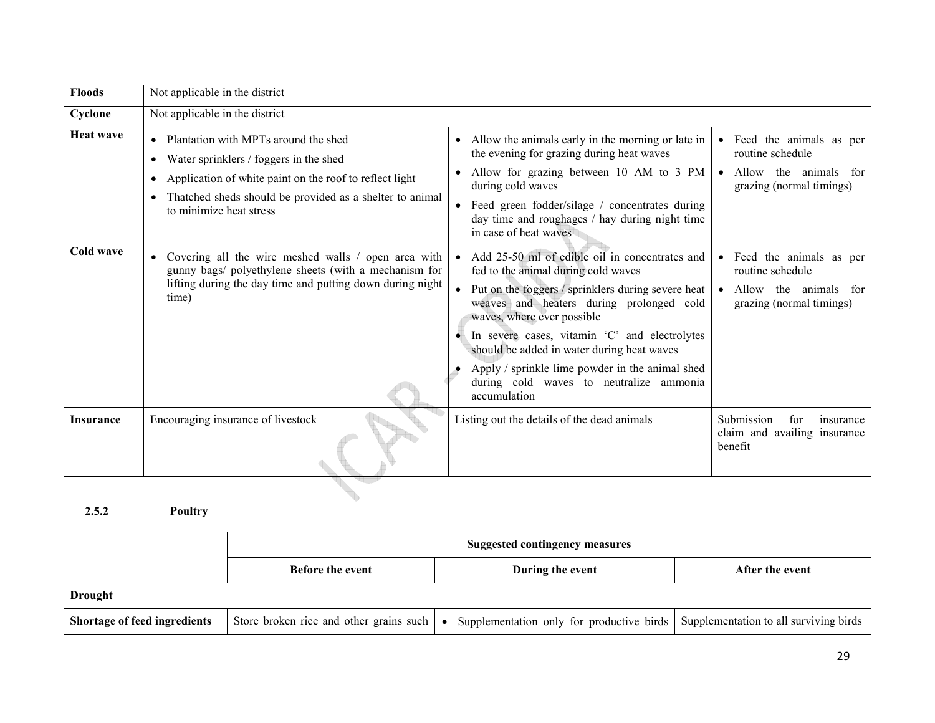| <b>Floods</b>    | Not applicable in the district                                                                                                                                                                                                                                            |                                                                                                                                                                                                                                                                                                                                                                                                                                                              |                                                                                                      |
|------------------|---------------------------------------------------------------------------------------------------------------------------------------------------------------------------------------------------------------------------------------------------------------------------|--------------------------------------------------------------------------------------------------------------------------------------------------------------------------------------------------------------------------------------------------------------------------------------------------------------------------------------------------------------------------------------------------------------------------------------------------------------|------------------------------------------------------------------------------------------------------|
| Cyclone          | Not applicable in the district                                                                                                                                                                                                                                            |                                                                                                                                                                                                                                                                                                                                                                                                                                                              |                                                                                                      |
| <b>Heat wave</b> | • Plantation with MPTs around the shed<br>Water sprinklers / foggers in the shed<br>$\bullet$<br>Application of white paint on the roof to reflect light<br>$\bullet$<br>Thatched sheds should be provided as a shelter to animal<br>$\bullet$<br>to minimize heat stress | Allow the animals early in the morning or late in<br>$\bullet$<br>the evening for grazing during heat waves<br>Allow for grazing between 10 AM to 3 PM<br>during cold waves<br>• Feed green fodder/silage / concentrates during<br>day time and roughages / hay during night time<br>in case of heat waves                                                                                                                                                   | • Feed the animals as per<br>routine schedule<br>• Allow the animals for<br>grazing (normal timings) |
| Cold wave        | Covering all the wire meshed walls / open area with<br>gunny bags/ polyethylene sheets (with a mechanism for<br>lifting during the day time and putting down during night<br>time)                                                                                        | Add 25-50 ml of edible oil in concentrates and<br>fed to the animal during cold waves<br>Put on the foggers / sprinklers during severe heat   • Allow the animals for<br>weaves and heaters during prolonged cold<br>waves, where ever possible<br>In severe cases, vitamin 'C' and electrolytes<br>should be added in water during heat waves<br>Apply / sprinkle lime powder in the animal shed<br>during cold waves to neutralize ammonia<br>accumulation | • Feed the animals as per<br>routine schedule<br>grazing (normal timings)                            |
| <b>Insurance</b> | Encouraging insurance of livestock                                                                                                                                                                                                                                        | Listing out the details of the dead animals                                                                                                                                                                                                                                                                                                                                                                                                                  | Submission<br>for<br>insurance<br>claim and availing insurance<br>benefit                            |
|                  |                                                                                                                                                                                                                                                                           |                                                                                                                                                                                                                                                                                                                                                                                                                                                              |                                                                                                      |

### 2.5.2 Poultry

|                                     | <b>Suggested contingency measures</b>                         |                                           |                                        |
|-------------------------------------|---------------------------------------------------------------|-------------------------------------------|----------------------------------------|
|                                     | <b>Before the event</b>                                       | During the event                          | After the event                        |
| <b>Drought</b>                      |                                                               |                                           |                                        |
| <b>Shortage of feed ingredients</b> | Store broken rice and other grains such $\vert \bullet \vert$ | Supplementation only for productive birds | Supplementation to all surviving birds |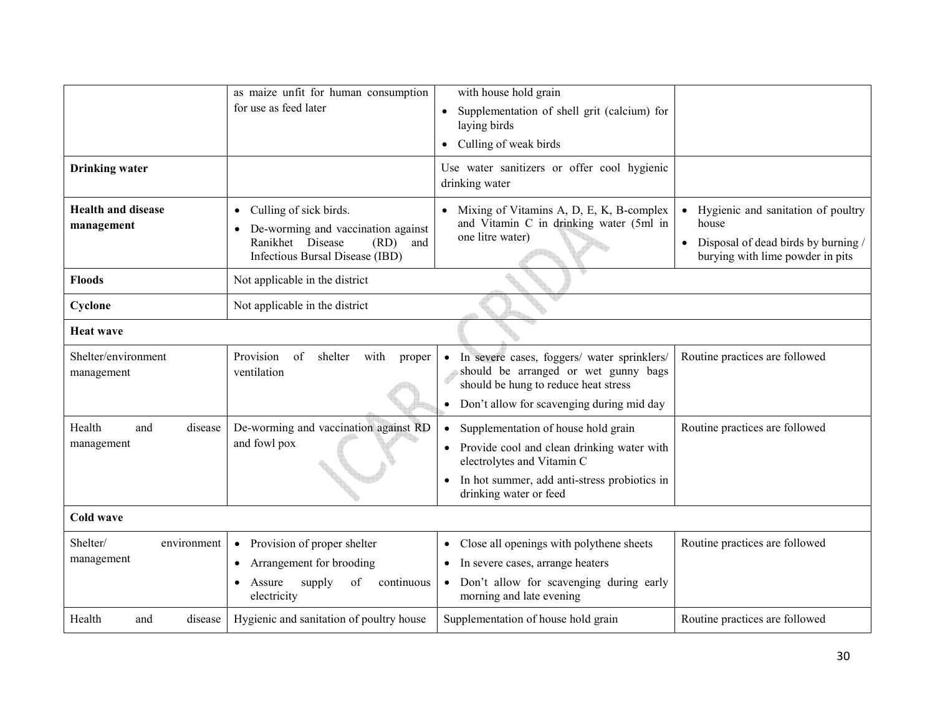|                                         | as maize unfit for human consumption<br>for use as feed later                                                                                   | with house hold grain<br>Supplementation of shell grit (calcium) for<br>$\bullet$<br>laying birds<br>Culling of weak birds<br>$\bullet$                                                                             |                                                                                                                                                  |
|-----------------------------------------|-------------------------------------------------------------------------------------------------------------------------------------------------|---------------------------------------------------------------------------------------------------------------------------------------------------------------------------------------------------------------------|--------------------------------------------------------------------------------------------------------------------------------------------------|
| <b>Drinking</b> water                   |                                                                                                                                                 | Use water sanitizers or offer cool hygienic<br>drinking water                                                                                                                                                       |                                                                                                                                                  |
| <b>Health and disease</b><br>management | Culling of sick birds.<br>$\bullet$<br>De-worming and vaccination against<br>Ranikhet Disease<br>(RD)<br>and<br>Infectious Bursal Disease (IBD) | Mixing of Vitamins A, D, E, K, B-complex<br>$\bullet$<br>and Vitamin C in drinking water (5ml in<br>one litre water)                                                                                                | Hygienic and sanitation of poultry<br>$\bullet$<br>house<br>Disposal of dead birds by burning /<br>$\bullet$<br>burying with lime powder in pits |
| <b>Floods</b>                           | Not applicable in the district                                                                                                                  |                                                                                                                                                                                                                     |                                                                                                                                                  |
| Cyclone                                 | Not applicable in the district                                                                                                                  |                                                                                                                                                                                                                     |                                                                                                                                                  |
| <b>Heat wave</b>                        |                                                                                                                                                 |                                                                                                                                                                                                                     |                                                                                                                                                  |
| Shelter/environment<br>management       | Provision<br>of<br>shelter<br>with<br>proper<br>ventilation                                                                                     | In severe cases, foggers/ water sprinklers/<br>should be arranged or wet gunny bags<br>should be hung to reduce heat stress<br>Don't allow for scavenging during mid day                                            | Routine practices are followed                                                                                                                   |
| Health<br>and<br>disease<br>management  | De-worming and vaccination against RD<br>and fowl pox                                                                                           | Supplementation of house hold grain<br>$\bullet$<br>Provide cool and clean drinking water with<br>electrolytes and Vitamin C<br>In hot summer, add anti-stress probiotics in<br>$\bullet$<br>drinking water or feed | Routine practices are followed                                                                                                                   |
| Cold wave                               |                                                                                                                                                 |                                                                                                                                                                                                                     |                                                                                                                                                  |
| Shelter/<br>environment<br>management   | Provision of proper shelter<br>$\bullet$<br>Arrangement for brooding<br>$\bullet$<br>of<br>supply<br>Assure<br>continuous<br>electricity        | Close all openings with polythene sheets<br>$\bullet$<br>In severe cases, arrange heaters<br>$\bullet$<br>Don't allow for scavenging during early<br>morning and late evening                                       | Routine practices are followed                                                                                                                   |
| Health<br>disease<br>and                | Hygienic and sanitation of poultry house                                                                                                        | Supplementation of house hold grain                                                                                                                                                                                 | Routine practices are followed                                                                                                                   |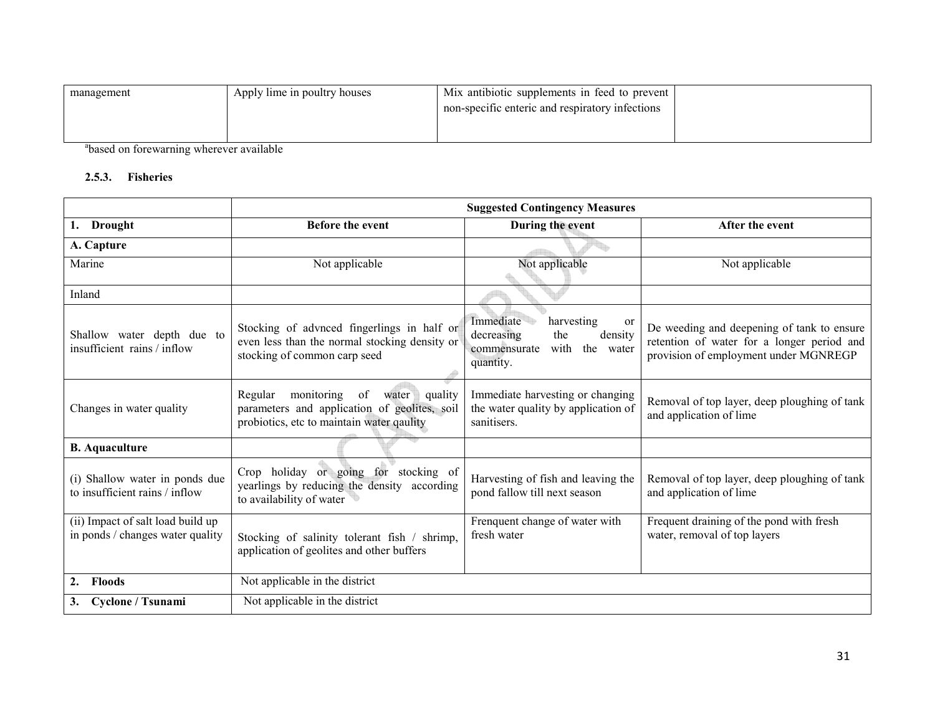| management | Apply lime in poultry houses | Mix antibiotic supplements in feed to prevent   |  |
|------------|------------------------------|-------------------------------------------------|--|
|            |                              | non-specific enteric and respiratory infections |  |
|            |                              |                                                 |  |
|            |                              |                                                 |  |

<sup>a</sup>based on forewarning wherever available

#### 2.5.3. Fisheries

|                                                                       | <b>Suggested Contingency Measures</b>                                                                                                     |                                                                                                                 |                                                                                                                                   |
|-----------------------------------------------------------------------|-------------------------------------------------------------------------------------------------------------------------------------------|-----------------------------------------------------------------------------------------------------------------|-----------------------------------------------------------------------------------------------------------------------------------|
| 1. Drought                                                            | Before the event                                                                                                                          | During the event                                                                                                | After the event                                                                                                                   |
| A. Capture                                                            |                                                                                                                                           |                                                                                                                 |                                                                                                                                   |
| Marine                                                                | Not applicable                                                                                                                            | Not applicable                                                                                                  | Not applicable                                                                                                                    |
| Inland                                                                |                                                                                                                                           |                                                                                                                 |                                                                                                                                   |
| Shallow water depth due to<br>insufficient rains / inflow             | Stocking of advnced fingerlings in half or<br>even less than the normal stocking density or<br>stocking of common carp seed               | Immediate<br>harvesting<br>or<br>decreasing<br>the<br>density<br>with<br>the water<br>commensurate<br>quantity. | De weeding and deepening of tank to ensure<br>retention of water for a longer period and<br>provision of employment under MGNREGP |
| Changes in water quality                                              | monitoring<br>of<br>water quality<br>Regular<br>parameters and application of geolites, soil<br>probiotics, etc to maintain water qaulity | Immediate harvesting or changing<br>the water quality by application of<br>sanitisers.                          | Removal of top layer, deep ploughing of tank<br>and application of lime                                                           |
| <b>B.</b> Aquaculture                                                 |                                                                                                                                           |                                                                                                                 |                                                                                                                                   |
| (i) Shallow water in ponds due<br>to insufficient rains / inflow      | Crop holiday or going for stocking of<br>yearlings by reducing the density according<br>to availability of water                          | Harvesting of fish and leaving the<br>pond fallow till next season                                              | Removal of top layer, deep ploughing of tank<br>and application of lime                                                           |
| (ii) Impact of salt load build up<br>in ponds / changes water quality | Stocking of salinity tolerant fish / shrimp,<br>application of geolites and other buffers                                                 | Frenquent change of water with<br>fresh water                                                                   | Frequent draining of the pond with fresh<br>water, removal of top layers                                                          |
| <b>Floods</b><br>2.                                                   | Not applicable in the district                                                                                                            |                                                                                                                 |                                                                                                                                   |
| Cyclone / Tsunami<br>3.                                               | Not applicable in the district                                                                                                            |                                                                                                                 |                                                                                                                                   |